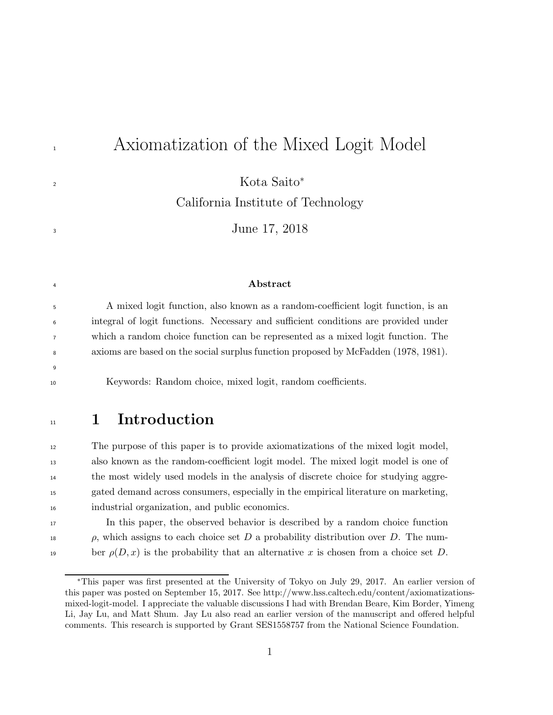# <sup>1</sup> Axiomatization of the Mixed Logit Model

Kota Saito<sup>∗</sup>

California Institute of Technology

<sup>3</sup> June 17, 2018

#### <sup>4</sup> Abstract

 A mixed logit function, also known as a random-coefficient logit function, is an integral of logit functions. Necessary and sufficient conditions are provided under which a random choice function can be represented as a mixed logit function. The axioms are based on the social surplus function proposed by McFadden (1978, 1981).

9

2

<sup>10</sup> Keywords: Random choice, mixed logit, random coefficients.

## <sup>11</sup> 1 Introduction

 The purpose of this paper is to provide axiomatizations of the mixed logit model, also known as the random-coefficient logit model. The mixed logit model is one of the most widely used models in the analysis of discrete choice for studying aggre- gated demand across consumers, especially in the empirical literature on marketing, industrial organization, and public economics.

<sup>17</sup> In this paper, the observed behavior is described by a random choice function  $\rho$ , which assigns to each choice set D a probability distribution over D. The num-19 ber  $\rho(D, x)$  is the probability that an alternative x is chosen from a choice set D.

<sup>∗</sup>This paper was first presented at the University of Tokyo on July 29, 2017. An earlier version of this paper was posted on September 15, 2017. See http://www.hss.caltech.edu/content/axiomatizationsmixed-logit-model. I appreciate the valuable discussions I had with Brendan Beare, Kim Border, Yimeng Li, Jay Lu, and Matt Shum. Jay Lu also read an earlier version of the manuscript and offered helpful comments. This research is supported by Grant SES1558757 from the National Science Foundation.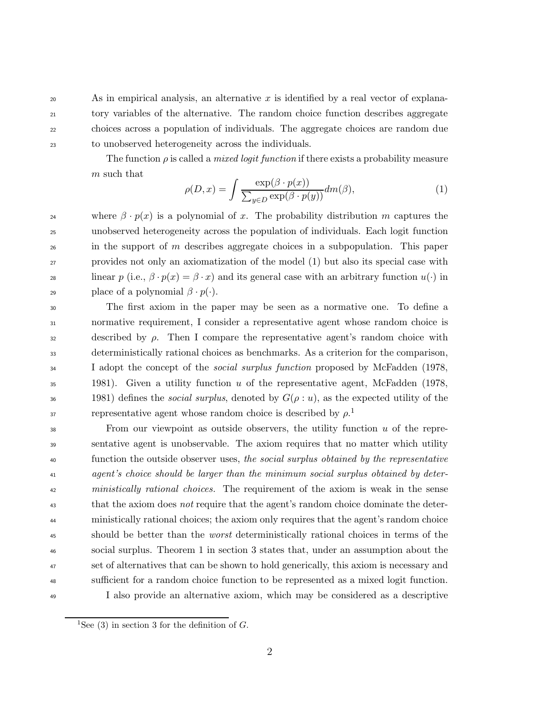20 As in empirical analysis, an alternative x is identified by a real vector of explana- tory variables of the alternative. The random choice function describes aggregate choices across a population of individuals. The aggregate choices are random due to unobserved heterogeneity across the individuals.

The function  $\rho$  is called a *mixed logit function* if there exists a probability measure m such that

$$
\rho(D,x) = \int \frac{\exp(\beta \cdot p(x))}{\sum_{y \in D} \exp(\beta \cdot p(y))} dm(\beta),\tag{1}
$$

<sup>24</sup> where  $\beta \cdot p(x)$  is a polynomial of x. The probability distribution m captures the <sup>25</sup> unobserved heterogeneity across the population of individuals. Each logit function <sup>26</sup> in the support of m describes aggregate choices in a subpopulation. This paper <sup>27</sup> provides not only an axiomatization of the model (1) but also its special case with 28 linear p (i.e.,  $\beta \cdot p(x) = \beta \cdot x$ ) and its general case with an arbitrary function  $u(\cdot)$  in 29 place of a polynomial  $\beta \cdot p(\cdot)$ .

<sup>30</sup> The first axiom in the paper may be seen as a normative one. To define a <sup>31</sup> normative requirement, I consider a representative agent whose random choice is  $\alpha$ <sup>32</sup> described by  $\rho$ . Then I compare the representative agent's random choice with <sup>33</sup> deterministically rational choices as benchmarks. As a criterion for the comparison, <sup>34</sup> I adopt the concept of the *social surplus function* proposed by McFadden (1978,  $1981$ ). Given a utility function u of the representative agent, McFadden (1978, 36 1981) defines the *social surplus*, denoted by  $G(\rho : u)$ , as the expected utility of the representative agent whose random choice is described by  $\rho$ <sup>1</sup> 37

 $\frac{38}{38}$  From our viewpoint as outside observers, the utility function u of the repre- sentative agent is unobservable. The axiom requires that no matter which utility function the outside observer uses, the social surplus obtained by the representative agent's choice should be larger than the minimum social surplus obtained by deter- ministically rational choices. The requirement of the axiom is weak in the sense that the axiom does not require that the agent's random choice dominate the deter- ministically rational choices; the axiom only requires that the agent's random choice should be better than the worst deterministically rational choices in terms of the social surplus. Theorem 1 in section 3 states that, under an assumption about the set of alternatives that can be shown to hold generically, this axiom is necessary and sufficient for a random choice function to be represented as a mixed logit function. I also provide an alternative axiom, which may be considered as a descriptive

<sup>&</sup>lt;sup>1</sup>See (3) in section 3 for the definition of  $G$ .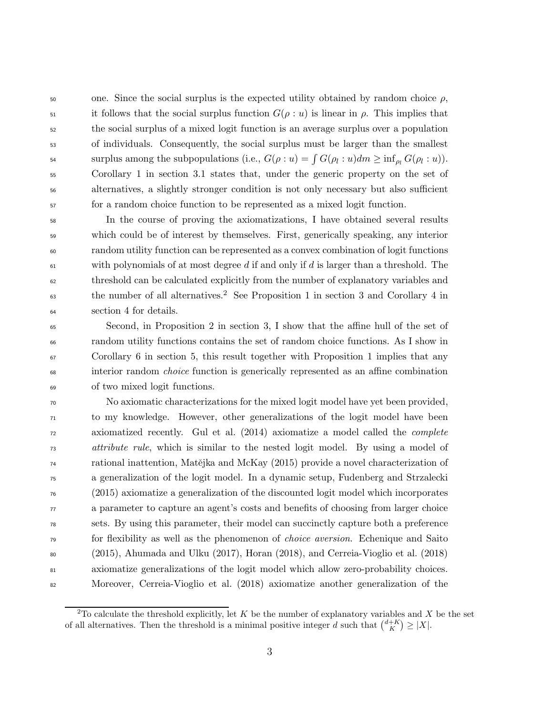$\epsilon$ <sub>50</sub> one. Since the social surplus is the expected utility obtained by random choice  $\rho$ , 51 it follows that the social surplus function  $G(\rho : u)$  is linear in  $\rho$ . This implies that the social surplus of a mixed logit function is an average surplus over a population of individuals. Consequently, the social surplus must be larger than the smallest surplus among the subpopulations (i.e.,  $G(\rho : u) = \int G(\rho_l : u) dm \geq \inf_{\rho_l} G(\rho_l : u)$ ). Corollary 1 in section 3.1 states that, under the generic property on the set of alternatives, a slightly stronger condition is not only necessary but also sufficient for a random choice function to be represented as a mixed logit function.

 In the course of proving the axiomatizations, I have obtained several results which could be of interest by themselves. First, generically speaking, any interior random utility function can be represented as a convex combination of logit functions  $\omega$  with polynomials of at most degree d if and only if d is larger than a threshold. The threshold can be calculated explicitly from the number of explanatory variables and the number of all alternatives.<sup>2</sup> See Proposition 1 in section 3 and Corollary 4 in section 4 for details.

 Second, in Proposition 2 in section 3, I show that the affine hull of the set of random utility functions contains the set of random choice functions. As I show in Corollary 6 in section 5, this result together with Proposition 1 implies that any interior random choice function is generically represented as an affine combination of two mixed logit functions.

 No axiomatic characterizations for the mixed logit model have yet been provided, to my knowledge. However, other generalizations of the logit model have been axiomatized recently. Gul et al. (2014) axiomatize a model called the complete attribute rule, which is similar to the nested logit model. By using a model of <sup>74</sup> rational inattention, Matějka and McKay (2015) provide a novel characterization of a generalization of the logit model. In a dynamic setup, Fudenberg and Strzalecki (2015) axiomatize a generalization of the discounted logit model which incorporates a parameter to capture an agent's costs and benefits of choosing from larger choice sets. By using this parameter, their model can succinctly capture both a preference for flexibility as well as the phenomenon of choice aversion. Echenique and Saito (2015), Ahumada and Ulku (2017), Horan (2018), and Cerreia-Vioglio et al. (2018) axiomatize generalizations of the logit model which allow zero-probability choices. Moreover, Cerreia-Vioglio et al. (2018) axiomatize another generalization of the

<sup>&</sup>lt;sup>2</sup>To calculate the threshold explicitly, let K be the number of explanatory variables and X be the set of all alternatives. Then the threshold is a minimal positive integer d such that  $\binom{d+K}{K} \geq |X|$ .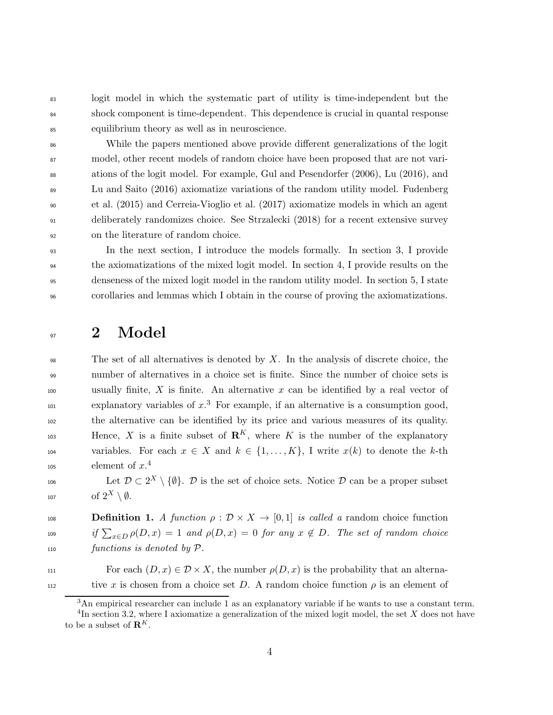<sup>83</sup> logit model in which the systematic part of utility is time-independent but the <sup>84</sup> shock component is time-dependent. This dependence is crucial in quantal response <sup>85</sup> equilibrium theory as well as in neuroscience.

 While the papers mentioned above provide different generalizations of the logit model, other recent models of random choice have been proposed that are not vari- ations of the logit model. For example, Gul and Pesendorfer (2006), Lu (2016), and Lu and Saito (2016) axiomatize variations of the random utility model. Fudenberg et al. (2015) and Cerreia-Vioglio et al. (2017) axiomatize models in which an agent deliberately randomizes choice. See Strzalecki (2018) for a recent extensive survey on the literature of random choice.

 In the next section, I introduce the models formally. In section 3, I provide the axiomatizations of the mixed logit model. In section 4, I provide results on the denseness of the mixed logit model in the random utility model. In section 5, I state corollaries and lemmas which I obtain in the course of proving the axiomatizations.

### $_{97}$  2 Model

 $\mathcal{P}_{98}$  The set of all alternatives is denoted by X. In the analysis of discrete choice, the <sup>99</sup> number of alternatives in a choice set is finite. Since the number of choice sets is 100 usually finite, X is finite. An alternative x can be identified by a real vector of  $\text{explanatory variables of } x^3$  For example, if an alternative is a consumption good, <sup>102</sup> the alternative can be identified by its price and various measures of its quality.  $Hence, X$  is a finite subset of  $\mathbb{R}^K$ , where K is the number of the explanatory 104 variables. For each  $x \in X$  and  $k \in \{1, ..., K\}$ , I write  $x(k)$  to denote the k-th element of  $x^4$ 105

106 Let  $\mathcal{D} \subset 2^X \setminus \{\emptyset\}$ . D is the set of choice sets. Notice D can be a proper subset of 2<sup>X</sup> <sup>107</sup> \ ∅.

108 **Definition 1.** A function  $\rho : \mathcal{D} \times X \to [0, 1]$  is called a random choice function <sup>109</sup> if  $\sum_{x\in D} \rho(D, x) = 1$  and  $\rho(D, x) = 0$  for any  $x \notin D$ . The set of random choice <sup>110</sup> functions is denoted by P.

111 For each  $(D, x) \in \mathcal{D} \times X$ , the number  $\rho(D, x)$  is the probability that an alterna-

tive x is chosen from a choice set D. A random choice function  $\rho$  is an element of

<sup>3</sup>An empirical researcher can include 1 as an explanatory variable if he wants to use a constant term.

<sup>&</sup>lt;sup>4</sup>In section 3.2, where I axiomatize a generalization of the mixed logit model, the set X does not have to be a subset of  $\mathbf{R}^K$ .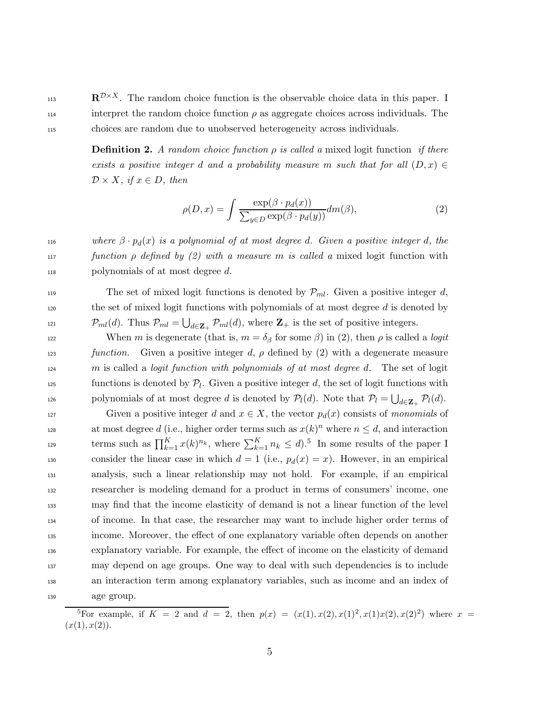$\mathbf{R}^{\mathcal{D}\times X}$ . The random choice function is the observable choice data in this paper. I 114 interpret the random choice function  $\rho$  as aggregate choices across individuals. The <sup>115</sup> choices are random due to unobserved heterogeneity across individuals.

> **Definition 2.** A random choice function  $\rho$  is called a mixed logit function if there exists a positive integer d and a probability measure m such that for all  $(D, x) \in$  $\mathcal{D} \times X$ , if  $x \in D$ , then

$$
\rho(D,x) = \int \frac{\exp(\beta \cdot p_d(x))}{\sum_{y \in D} \exp(\beta \cdot p_d(y))} dm(\beta),\tag{2}
$$

116 where  $\beta \cdot p_d(x)$  is a polynomial of at most degree d. Given a positive integer d, the 117 function  $\rho$  defined by (2) with a measure m is called a mixed logit function with 118 polynomials of at most degree d.

The set of mixed logit functions is denoted by  $\mathcal{P}_{ml}$ . Given a positive integer d,  $120$  the set of mixed logit functions with polynomials of at most degree d is denoted by 121  $\mathcal{P}_{ml}(d)$ . Thus  $\mathcal{P}_{ml} = \bigcup_{d \in \mathbf{Z}_+} \mathcal{P}_{ml}(d)$ , where  $\mathbf{Z}_+$  is the set of positive integers.

122 When m is degenerate (that is,  $m = \delta_\beta$  for some  $\beta$ ) in (2), then  $\rho$  is called a *logit* 123 function. Given a positive integer d,  $\rho$  defined by (2) with a degenerate measure  $124$  m is called a *logit function with polynomials of at most degree d.* The set of logit functions is denoted by  $\mathcal{P}_l$ . Given a positive integer d, the set of logit functions with 126 polynomials of at most degree d is denoted by  $\mathcal{P}_l(d)$ . Note that  $\mathcal{P}_l = \bigcup_{d \in \mathbf{Z}_+} \mathcal{P}_l(d)$ .

127 Given a positive integer d and  $x \in X$ , the vector  $p_d(x)$  consists of monomials of at most degree d (i.e., higher order terms such as  $x(k)^n$  where  $n \leq d$ , and interaction terms such as  $\prod_{k=1}^{K} x(k)^{n_k}$ , where  $\sum_{k=1}^{K} n_k \leq d$ .<sup>5</sup> In some results of the paper I 130 consider the linear case in which  $d = 1$  (i.e.,  $p_d(x) = x$ ). However, in an empirical analysis, such a linear relationship may not hold. For example, if an empirical researcher is modeling demand for a product in terms of consumers' income, one may find that the income elasticity of demand is not a linear function of the level of income. In that case, the researcher may want to include higher order terms of income. Moreover, the effect of one explanatory variable often depends on another explanatory variable. For example, the effect of income on the elasticity of demand may depend on age groups. One way to deal with such dependencies is to include an interaction term among explanatory variables, such as income and an index of age group.

<sup>&</sup>lt;sup>5</sup>For example, if  $K = 2$  and  $d = 2$ , then  $p(x) = (x(1), x(2), x(1)^2, x(1)x(2), x(2)^2)$  where  $x =$  $(x(1), x(2)).$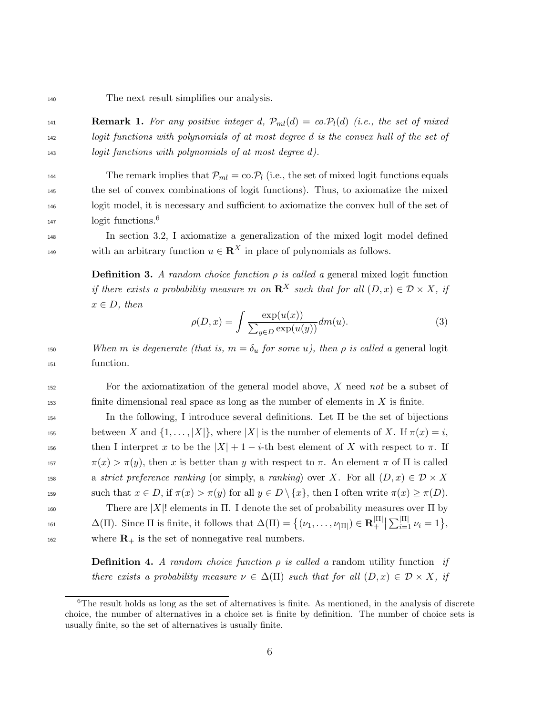<sup>140</sup> The next result simplifies our analysis.

141 **Remark 1.** For any positive integer d,  $\mathcal{P}_{ml}(d) = co.\mathcal{P}_l(d)$  (i.e., the set of mixed <sup>142</sup> logit functions with polynomials of at most degree d is the convex hull of the set of <sup>143</sup> logit functions with polynomials of at most degree d).

144 The remark implies that  $\mathcal{P}_{ml} = \text{co.} \mathcal{P}_l$  (i.e., the set of mixed logit functions equals <sup>145</sup> the set of convex combinations of logit functions). Thus, to axiomatize the mixed <sup>146</sup> logit model, it is necessary and sufficient to axiomatize the convex hull of the set of logit functions.<sup>6</sup> 147

<sup>148</sup> In section 3.2, I axiomatize a generalization of the mixed logit model defined with an arbitrary function  $u \in \mathbb{R}^X$  in place of polynomials as follows.

> **Definition 3.** A random choice function  $\rho$  is called a general mixed logit function if there exists a probability measure m on  $\mathbb{R}^X$  such that for all  $(D, x) \in \mathcal{D} \times X$ , if  $x \in D$ , then

$$
\rho(D, x) = \int \frac{\exp(u(x))}{\sum_{y \in D} \exp(u(y))} dm(u). \tag{3}
$$

150 When m is degenerate (that is,  $m = \delta_u$  for some u), then  $\rho$  is called a general logit <sup>151</sup> function.

<sup>152</sup> For the axiomatization of the general model above, X need not be a subset of  $153$  finite dimensional real space as long as the number of elements in X is finite.

<sup>154</sup> In the following, I introduce several definitions. Let Π be the set of bijections 155 between X and  $\{1, \ldots, |X|\}$ , where  $|X|$  is the number of elements of X. If  $\pi(x) = i$ , 156 then I interpret x to be the  $|X| + 1 - i$ -th best element of X with respect to  $\pi$ . If 157  $\pi(x) > \pi(y)$ , then x is better than y with respect to  $\pi$ . An element  $\pi$  of  $\Pi$  is called 158 a strict preference ranking (or simply, a ranking) over X. For all  $(D, x) \in \mathcal{D} \times X$ 159 such that  $x \in D$ , if  $\pi(x) > \pi(y)$  for all  $y \in D \setminus \{x\}$ , then I often write  $\pi(x) \geq \pi(D)$ . 160 There are |X|! elements in  $\Pi$ . I denote the set of probability measures over  $\Pi$  by  $\Delta(\Pi)$ . Since  $\Pi$  is finite, it follows that  $\Delta(\Pi) = \{(\nu_1, \ldots, \nu_{|\Pi|}) \in \mathbf{R}^{|\Pi|}_+\}$ 161  $\Delta(\Pi)$ . Since  $\Pi$  is finite, it follows that  $\Delta(\Pi) = \{(\nu_1, \ldots, \nu_{|\Pi|}) \in \mathbf{R}_+^{|\Pi|} \mid \sum_{i=1}^{|\Pi|} \nu_i = 1\},\$ 

 $\mu_{162}$  where  $\mathbf{R}_{+}$  is the set of nonnegative real numbers.

**Definition 4.** A random choice function  $\rho$  is called a random utility function if there exists a probability measure  $\nu \in \Delta(\Pi)$  such that for all  $(D, x) \in \mathcal{D} \times X$ , if

<sup>&</sup>lt;sup>6</sup>The result holds as long as the set of alternatives is finite. As mentioned, in the analysis of discrete choice, the number of alternatives in a choice set is finite by definition. The number of choice sets is usually finite, so the set of alternatives is usually finite.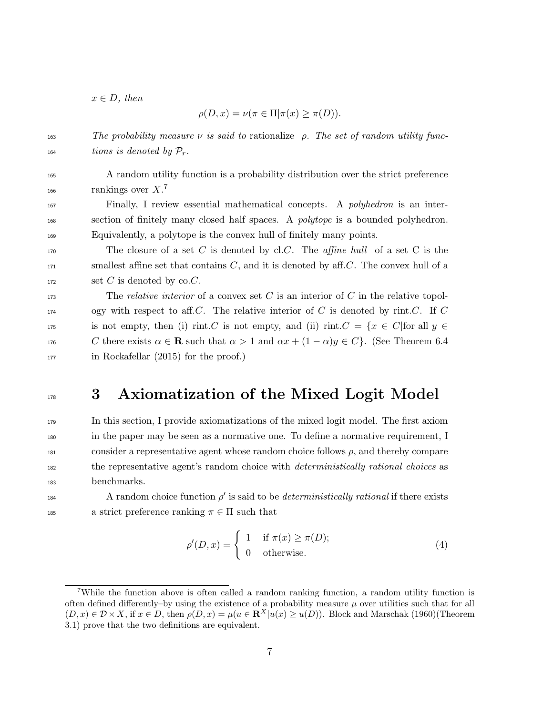$x \in D$ , then

166

$$
\rho(D, x) = \nu(\pi \in \Pi | \pi(x) \ge \pi(D)).
$$

163 The probability measure  $\nu$  is said to rationalize *ρ. The set of random utility func*- $\mu$ <sub>164</sub> tions is denoted by  $P_r$ .

<sup>165</sup> A random utility function is a probability distribution over the strict preference rankings over  $X$ .<sup>7</sup>

<sup>167</sup> Finally, I review essential mathematical concepts. A polyhedron is an inter-<sup>168</sup> section of finitely many closed half spaces. A polytope is a bounded polyhedron. <sup>169</sup> Equivalently, a polytope is the convex hull of finitely many points.

170 The closure of a set C is denoted by cl.C. The *affine hull* of a set C is the  $171$  smallest affine set that contains C, and it is denoted by aff.C. The convex hull of a  $172$  set C is denoted by co.C.

173 The *relative interior* of a convex set C is an interior of C in the relative topol- $174$  ogy with respect to aff. C. The relative interior of C is denoted by rint. C. If C 175 is not empty, then (i) rint.C is not empty, and (ii) rint.C =  $\{x \in C |$  for all  $y \in$ 176 C there exists  $\alpha \in \mathbf{R}$  such that  $\alpha > 1$  and  $\alpha x + (1 - \alpha)y \in C$ . (See Theorem 6.4 <sup>177</sup> in Rockafellar (2015) for the proof.)

## <sup>178</sup> 3 Axiomatization of the Mixed Logit Model

 In this section, I provide axiomatizations of the mixed logit model. The first axiom in the paper may be seen as a normative one. To define a normative requirement, I consider a representative agent whose random choice follows  $\rho$ , and thereby compare <sup>182</sup> the representative agent's random choice with *deterministically rational choices* as benchmarks.

184 **A** random choice function  $\rho'$  is said to be *deterministically rational* if there exists 185 a strict preference ranking  $\pi \in \Pi$  such that

$$
\rho'(D, x) = \begin{cases} 1 & \text{if } \pi(x) \ge \pi(D); \\ 0 & \text{otherwise.} \end{cases}
$$
 (4)

<sup>7</sup>While the function above is often called a random ranking function, a random utility function is often defined differently–by using the existence of a probability measure  $\mu$  over utilities such that for all  $(D, x) \in \mathcal{D} \times X$ , if  $x \in D$ , then  $\rho(D, x) = \mu(u \in \mathbb{R}^X | u(x) \ge u(D))$ . Block and Marschak (1960)(Theorem 3.1) prove that the two definitions are equivalent.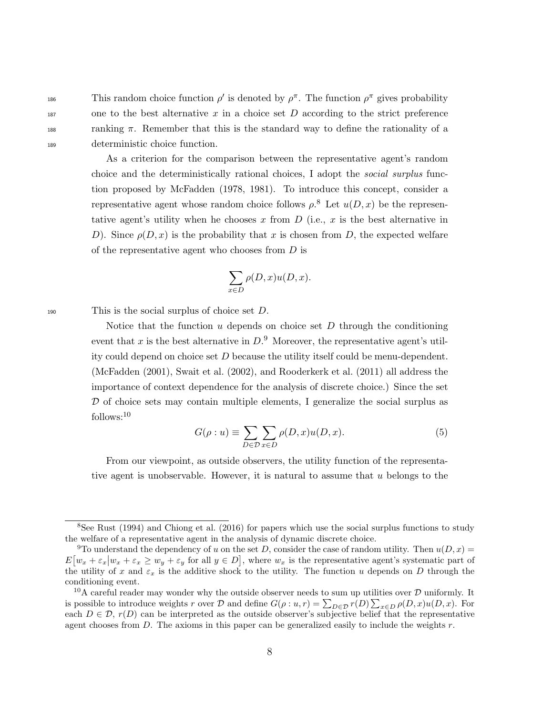186 This random choice function  $\rho'$  is denoted by  $\rho^{\pi}$ . The function  $\rho^{\pi}$  gives probability  $187$  one to the best alternative x in a choice set D according to the strict preference 188 ranking  $\pi$ . Remember that this is the standard way to define the rationality of a <sup>189</sup> deterministic choice function.

> As a criterion for the comparison between the representative agent's random choice and the deterministically rational choices, I adopt the social surplus function proposed by McFadden (1978, 1981). To introduce this concept, consider a representative agent whose random choice follows  $\rho$ <sup>8</sup>. Let  $u(D, x)$  be the representative agent's utility when he chooses x from  $D$  (i.e., x is the best alternative in D). Since  $\rho(D, x)$  is the probability that x is chosen from D, the expected welfare of the representative agent who chooses from D is

$$
\sum_{x \in D} \rho(D, x) u(D, x).
$$

190 This is the social surplus of choice set  $D$ .

Notice that the function  $u$  depends on choice set  $D$  through the conditioning event that x is the best alternative in  $D.9$  Moreover, the representative agent's utility could depend on choice set  $D$  because the utility itself could be menu-dependent. (McFadden (2001), Swait et al. (2002), and Rooderkerk et al. (2011) all address the importance of context dependence for the analysis of discrete choice.) Since the set  $D$  of choice sets may contain multiple elements, I generalize the social surplus as follows:<sup>10</sup>

$$
G(\rho:u) \equiv \sum_{D \in \mathcal{D}} \sum_{x \in D} \rho(D,x) u(D,x).
$$
 (5)

From our viewpoint, as outside observers, the utility function of the representative agent is unobservable. However, it is natural to assume that  $u$  belongs to the

<sup>&</sup>lt;sup>8</sup>See Rust (1994) and Chiong et al. (2016) for papers which use the social surplus functions to study the welfare of a representative agent in the analysis of dynamic discrete choice.

<sup>&</sup>lt;sup>9</sup>To understand the dependency of u on the set D, consider the case of random utility. Then  $u(D, x)$  $E[w_x + \varepsilon_x | w_x + \varepsilon_x \geq w_y + \varepsilon_y \text{ for all } y \in D]$ , where  $w_x$  is the representative agent's systematic part of the utility of x and  $\varepsilon_x$  is the additive shock to the utility. The function u depends on D through the conditioning event.

<sup>&</sup>lt;sup>10</sup>A careful reader may wonder why the outside observer needs to sum up utilities over  $\mathcal D$  uniformly. It is possible to introduce weights r over D and define  $G(\rho:u,r) = \sum_{D \in \mathcal{D}} r(D) \sum_{x \in D} \rho(D,x) u(D,x)$ . For each  $D \in \mathcal{D}$ ,  $r(D)$  can be interpreted as the outside observer's subjective belief that the representative agent chooses from  $D$ . The axioms in this paper can be generalized easily to include the weights  $r$ .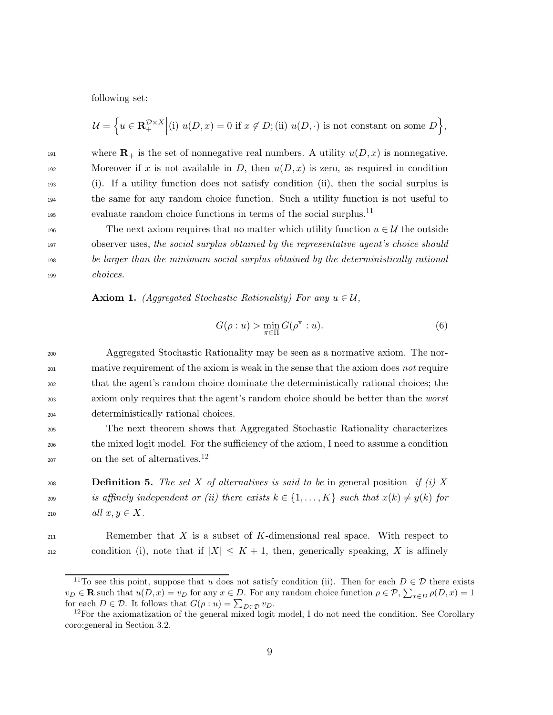following set:

$$
\mathcal{U} = \Big\{ u \in \mathbf{R}_{+}^{\mathcal{D} \times X} \Big| (\text{i}) \ u(D, x) = 0 \text{ if } x \notin D; (\text{ii}) \ u(D, \cdot) \text{ is not constant on some } D \Big\},\
$$

191 where  $\mathbf{R}_+$  is the set of nonnegative real numbers. A utility  $u(D, x)$  is nonnegative. 192 Moreover if x is not available in D, then  $u(D, x)$  is zero, as required in condition <sup>193</sup> (i). If a utility function does not satisfy condition (ii), then the social surplus is <sup>194</sup> the same for any random choice function. Such a utility function is not useful to evaluate random choice functions in terms of the social surplus.<sup>11</sup>

196 The next axiom requires that no matter which utility function  $u \in \mathcal{U}$  the outside <sup>197</sup> observer uses, the social surplus obtained by the representative agent's choice should <sup>198</sup> be larger than the minimum social surplus obtained by the deterministically rational <sup>199</sup> choices.

**Axiom 1.** (Aggregated Stochastic Rationality) For any  $u \in \mathcal{U}$ ,

$$
G(\rho:u) > \min_{\pi \in \Pi} G(\rho^{\pi}:u). \tag{6}
$$

<sup>200</sup> Aggregated Stochastic Rationality may be seen as a normative axiom. The nor-<sup>201</sup> mative requirement of the axiom is weak in the sense that the axiom does not require <sup>202</sup> that the agent's random choice dominate the deterministically rational choices; the <sup>203</sup> axiom only requires that the agent's random choice should be better than the *worst* <sup>204</sup> deterministically rational choices.

<sup>205</sup> The next theorem shows that Aggregated Stochastic Rationality characterizes <sup>206</sup> the mixed logit model. For the sufficiency of the axiom, I need to assume a condition  $_{207}$  on the set of alternatives.<sup>12</sup>

208 **Definition 5.** The set X of alternatives is said to be in general position if (i) X 209 is affinely independent or (ii) there exists  $k \in \{1, \ldots, K\}$  such that  $x(k) \neq y(k)$  for 210  $all \ x, y \in X.$ 

 $R$  Remember that X is a subset of K-dimensional real space. With respect to condition (i), note that if  $|X| \leq K + 1$ , then, generically speaking, X is affinely

<sup>&</sup>lt;sup>11</sup>To see this point, suppose that u does not satisfy condition (ii). Then for each  $D \in \mathcal{D}$  there exists  $v_D \in \mathbf{R}$  such that  $u(D, x) = v_D$  for any  $x \in D$ . For any random choice function  $\rho \in \mathcal{P}, \sum_{x \in D} \rho(D, x) = 1$ for each  $D \in \mathcal{D}$ . It follows that  $G(\rho : u) = \sum_{D \in \mathcal{D}} v_D$ .

<sup>&</sup>lt;sup>12</sup>For the axiomatization of the general mixed logit model, I do not need the condition. See Corollary coro:general in Section 3.2.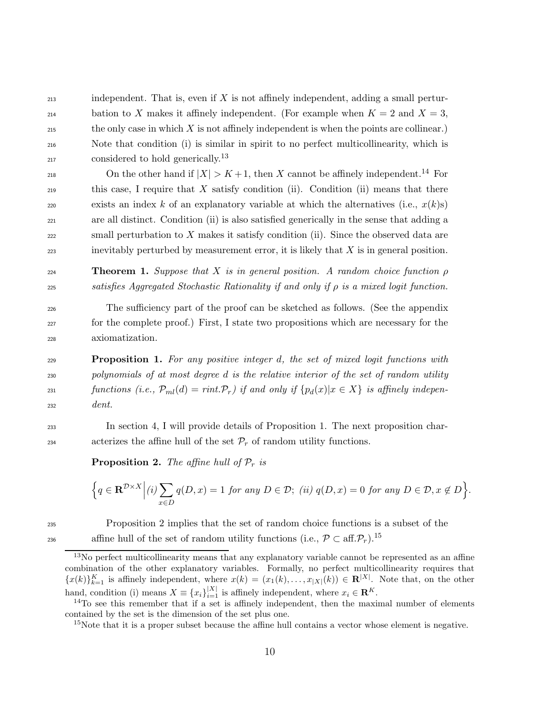$213$  independent. That is, even if X is not affinely independent, adding a small pertur-214 bation to X makes it affinely independent. (For example when  $K = 2$  and  $X = 3$ ,  $215$  the only case in which X is not affinely independent is when the points are collinear.) <sup>216</sup> Note that condition (i) is similar in spirit to no perfect multicollinearity, which is  $_{217}$  considered to hold generically.<sup>13</sup>

218 On the other hand if  $|X| > K + 1$ , then X cannot be affinely independent.<sup>14</sup> For <sup>219</sup> this case, I require that X satisfy condition (ii). Condition (ii) means that there exists an index k of an explanatory variable at which the alternatives (i.e.,  $x(k)s$ ) <sup>221</sup> are all distinct. Condition (ii) is also satisfied generically in the sense that adding a  $222$  small perturbation to X makes it satisfy condition (ii). Since the observed data are  $223$  inevitably perturbed by measurement error, it is likely that  $X$  is in general position.

**224 Theorem 1.** Suppose that X is in general position. A random choice function  $\rho$ 225 satisfies Aggregated Stochastic Rationality if and only if  $\rho$  is a mixed logit function.

<sup>226</sup> The sufficiency part of the proof can be sketched as follows. (See the appendix <sup>227</sup> for the complete proof.) First, I state two propositions which are necessary for the <sup>228</sup> axiomatization.

<sup>229</sup> Proposition 1. For any positive integer d, the set of mixed logit functions with <sup>230</sup> polynomials of at most degree d is the relative interior of the set of random utility 231 functions (i.e.,  $\mathcal{P}_{ml}(d) = rint \mathcal{P}_r$ ) if and only if  $\{p_d(x)|x \in X\}$  is affinely indepen-<sup>232</sup> dent.

<sup>233</sup> In section 4, I will provide details of Proposition 1. The next proposition char-234 acterizes the affine hull of the set  $\mathcal{P}_r$  of random utility functions.

**Proposition 2.** The affine hull of  $P_r$  is

$$
\left\{ q \in \mathbf{R}^{\mathcal{D} \times X} \middle| (i) \sum_{x \in D} q(D, x) = 1 \text{ for any } D \in \mathcal{D}; \ (ii) \ q(D, x) = 0 \text{ for any } D \in \mathcal{D}, x \notin D \right\}.
$$

<sup>235</sup> Proposition 2 implies that the set of random choice functions is a subset of the affine hull of the set of random utility functions (i.e.,  $\mathcal{P} \subset \text{aff.}(\mathcal{P}_r)$ .<sup>15</sup>

<sup>&</sup>lt;sup>13</sup>No perfect multicollinearity means that any explanatory variable cannot be represented as an affine combination of the other explanatory variables. Formally, no perfect multicollinearity requires that  ${x(k)}_{k=1}^K$  is affinely independent, where  $x(k) = (x_1(k), \ldots, x_{|X|}(k)) \in \mathbb{R}^{|X|}$ . Note that, on the other hand, condition (i) means  $X \equiv \{x_i\}_{i=1}^{|X|}$  is affinely independent, where  $x_i \in \mathbb{R}^K$ .

 $14$ To see this remember that if a set is affinely independent, then the maximal number of elements contained by the set is the dimension of the set plus one.

<sup>&</sup>lt;sup>15</sup>Note that it is a proper subset because the affine hull contains a vector whose element is negative.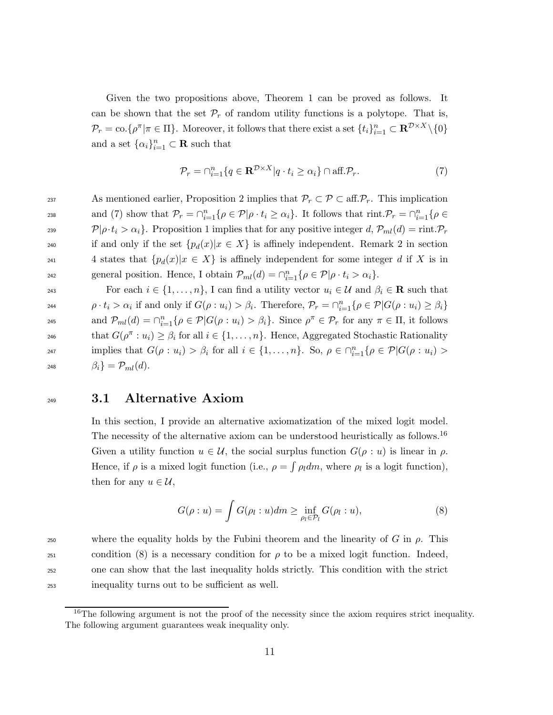Given the two propositions above, Theorem 1 can be proved as follows. It can be shown that the set  $\mathcal{P}_r$  of random utility functions is a polytope. That is,  $\mathcal{P}_r = \text{co.}\{\rho^{\pi} | \pi \in \Pi\}.$  Moreover, it follows that there exist a set  $\{t_i\}_{i=1}^n \subset \mathbf{R}^{\mathcal{D} \times X} \setminus \{0\}$ and a set  $\{\alpha_i\}_{i=1}^n \subset \mathbf{R}$  such that

$$
\mathcal{P}_r = \bigcap_{i=1}^n \{ q \in \mathbf{R}^{\mathcal{D} \times X} | q \cdot t_i \ge \alpha_i \} \cap \text{aff.} \mathcal{P}_r. \tag{7}
$$

237 As mentioned earlier, Proposition 2 implies that  $\mathcal{P}_r \subset \mathcal{P} \subset \text{aff.} \mathcal{P}_r$ . This implication and (7) show that  $\mathcal{P}_r = \bigcap_{i=1}^n \{ \rho \in \mathcal{P} | \rho \cdot t_i \geq \alpha_i \}.$  It follows that  $\text{rint.} \mathcal{P}_r = \bigcap_{i=1}^n \{ \rho \in \mathcal{P} | \rho \cdot t_i \geq \alpha_i \}.$ <sup>239</sup>  $\mathcal{P}|\rho \cdot t_i > \alpha_i$ . Proposition 1 implies that for any positive integer d,  $\mathcal{P}_{ml}(d) = \text{rint.} \mathcal{P}_r$ 240 if and only if the set  ${p_d(x)|x \in X}$  is affinely independent. Remark 2 in section 241 4 states that  $\{p_d(x)|x \in X\}$  is affinely independent for some integer d if X is in queral position. Hence, I obtain  $\mathcal{P}_{ml}(d) = \bigcap_{i=1}^n \{ \rho \in \mathcal{P} | \rho \cdot t_i > \alpha_i \}.$ 

243 For each  $i \in \{1, \ldots, n\}$ , I can find a utility vector  $u_i \in \mathcal{U}$  and  $\beta_i \in \mathbf{R}$  such that 244  $\rho \cdot t_i > \alpha_i$  if and only if  $G(\rho : u_i) > \beta_i$ . Therefore,  $\mathcal{P}_r = \bigcap_{i=1}^n {\{\rho \in \mathcal{P} | G(\rho : u_i) \ge \beta_i\}}$ and  $\mathcal{P}_{ml}(d) = \bigcap_{i=1}^n \{ \rho \in \mathcal{P} | G(\rho : u_i) > \beta_i \}.$  Since  $\rho^{\pi} \in \mathcal{P}_r$  for any  $\pi \in \Pi$ , it follows that  $G(\rho^{\pi}: u_i) \geq \beta_i$  for all  $i \in \{1, ..., n\}$ . Hence, Aggregated Stochastic Rationality implies that  $G(\rho: u_i) > \beta_i$  for all  $i \in \{1, ..., n\}$ . So,  $\rho \in \bigcap_{i=1}^n {\rho \in \mathcal{P} | G(\rho: u_i)}$ 248  $\beta_i$  =  $\mathcal{P}_{ml}(d)$ .

### <sup>249</sup> 3.1 Alternative Axiom

In this section, I provide an alternative axiomatization of the mixed logit model. The necessity of the alternative axiom can be understood heuristically as follows.<sup>16</sup> Given a utility function  $u \in \mathcal{U}$ , the social surplus function  $G(\rho : u)$  is linear in  $\rho$ . Hence, if  $\rho$  is a mixed logit function (i.e.,  $\rho = \int \rho_l dm$ , where  $\rho_l$  is a logit function), then for any  $u \in \mathcal{U}$ ,

$$
G(\rho:u) = \int G(\rho_l:u)dm \ge \inf_{\rho_l \in \mathcal{P}_l} G(\rho_l:u),\tag{8}
$$

250 where the equality holds by the Fubini theorem and the linearity of G in  $\rho$ . This condition (8) is a necessary condition for *ρ* to be a mixed logit function. Indeed, one can show that the last inequality holds strictly. This condition with the strict inequality turns out to be sufficient as well.

<sup>&</sup>lt;sup>16</sup>The following argument is not the proof of the necessity since the axiom requires strict inequality. The following argument guarantees weak inequality only.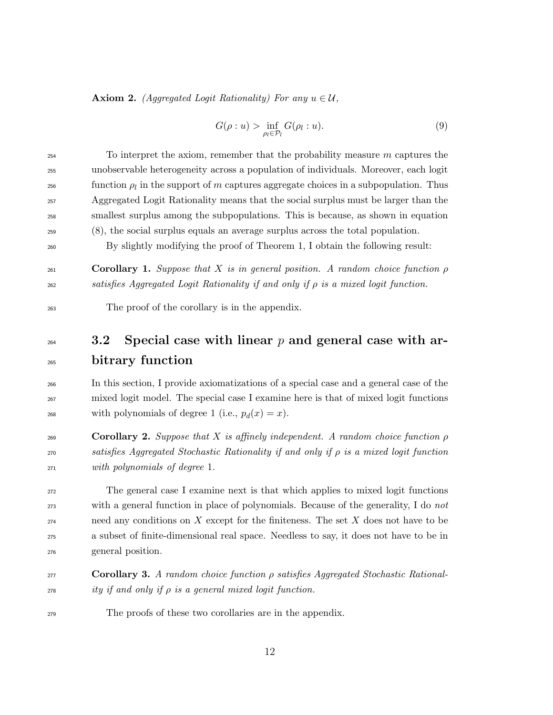**Axiom 2.** (Aggregated Logit Rationality) For any  $u \in \mathcal{U}$ ,

$$
G(\rho:u) > \inf_{\rho_l \in \mathcal{P}_l} G(\rho_l:u). \tag{9}
$$

| 254 | To interpret the axiom, remember that the probability measure $m$ captures the             |
|-----|--------------------------------------------------------------------------------------------|
| 255 | unobservable heterogeneity across a population of individuals. Moreover, each logit        |
| 256 | function $\rho_l$ in the support of m captures aggregate choices in a subpopulation. Thus  |
| 257 | Aggregated Logit Rationality means that the social surplus must be larger than the         |
| 258 | smallest surplus among the subpopulations. This is because, as shown in equation           |
| 259 | (8), the social surplus equals an average surplus across the total population.             |
| 260 | By slightly modifying the proof of Theorem 1, I obtain the following result:               |
|     |                                                                                            |
| 261 | <b>Corollary 1.</b> Suppose that X is in general position. A random choice function $\rho$ |

satisfies Aggregated Logit Rationality if and only if ρ is a mixed logit function.

The proof of the corollary is in the appendix.

## $_{264}$  3.2 Special case with linear p and general case with ar-bitrary function

 In this section, I provide axiomatizations of a special case and a general case of the mixed logit model. The special case I examine here is that of mixed logit functions 268 with polynomials of degree 1 (i.e.,  $p_d(x) = x$ ).

269 **Corollary 2.** Suppose that X is affinely independent. A random choice function  $\rho$ 270 satisfies Aggregated Stochastic Rationality if and only if  $\rho$  is a mixed logit function with polynomials of degree 1.

 The general case I examine next is that which applies to mixed logit functions with a general function in place of polynomials. Because of the generality, I do not need any conditions on X except for the finiteness. The set X does not have to be a subset of finite-dimensional real space. Needless to say, it does not have to be in general position.

 Corollary 3. A random choice function ρ satisfies Aggregated Stochastic Rational- $\frac{1}{278}$  ity if and only if  $\rho$  is a general mixed logit function.

The proofs of these two corollaries are in the appendix.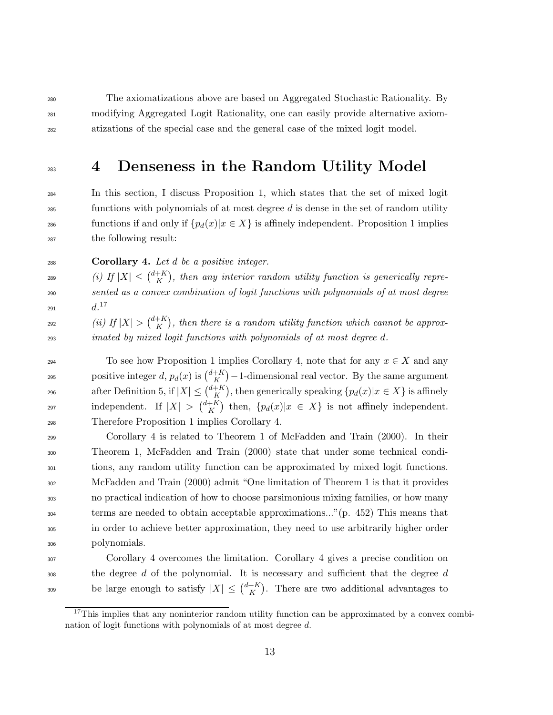<sup>280</sup> The axiomatizations above are based on Aggregated Stochastic Rationality. By <sup>281</sup> modifying Aggregated Logit Rationality, one can easily provide alternative axiom-<sup>282</sup> atizations of the special case and the general case of the mixed logit model.

## <sup>283</sup> 4 Denseness in the Random Utility Model

 In this section, I discuss Proposition 1, which states that the set of mixed logit functions with polynomials of at most degree d is dense in the set of random utility 286 functions if and only if  $\{p_d(x)|x \in X\}$  is affinely independent. Proposition 1 implies the following result:

 $288$  Corollary 4. Let d be a positive integer.

(i) If  $|X| \leq {d+K \choose K}$  $\text{(i)}$  If  $|X| \leq {d+K \choose K}$ , then any interior random utility function is generically repre-<sup>290</sup> sented as a convex combination of logit functions with polynomials of at most degree d. 17 <sup>291</sup>

(*ii*) If  $|X| > {d+K \choose K}$ <sup>292</sup> (ii) If  $|X| > {d+K \choose K}$ , then there is a random utility function which cannot be approx-<sup>293</sup> imated by mixed logit functions with polynomials of at most degree d.

294 To see how Proposition 1 implies Corollary 4, note that for any  $x \in X$  and any positive integer d,  $p_d(x)$  is  $\binom{d+K}{K}$ positive integer d,  $p_d(x)$  is  $\binom{d+K}{K}$  – 1-dimensional real vector. By the same argument after Definition 5, if  $|X| \leq {d+K \choose K}$ 296 after Definition 5, if  $|X| \leq {a+K \choose K}$ , then generically speaking  $\{p_d(x)|x \in X\}$  is affinely independent. If  $|X| > \binom{d+K}{K}$ independent. If  $|X| > \binom{d+K}{K}$  then,  $\{p_d(x)|x \in X\}$  is not affinely independent. <sup>298</sup> Therefore Proposition 1 implies Corollary 4.

 Corollary 4 is related to Theorem 1 of McFadden and Train (2000). In their Theorem 1, McFadden and Train (2000) state that under some technical condi- tions, any random utility function can be approximated by mixed logit functions. McFadden and Train (2000) admit "One limitation of Theorem 1 is that it provides no practical indication of how to choose parsimonious mixing families, or how many terms are needed to obtain acceptable approximations..."(p. 452) This means that in order to achieve better approximation, they need to use arbitrarily higher order polynomials.

<sup>307</sup> Corollary 4 overcomes the limitation. Corollary 4 gives a precise condition on  $\frac{308}{400}$  the degree d of the polynomial. It is necessary and sufficient that the degree d be large enough to satisfy  $|X| \leq {d+K \choose K}$ be large enough to satisfy  $|X| \leq {d+K \choose K}$ . There are two additional advantages to

<sup>&</sup>lt;sup>17</sup>This implies that any noninterior random utility function can be approximated by a convex combination of logit functions with polynomials of at most degree d.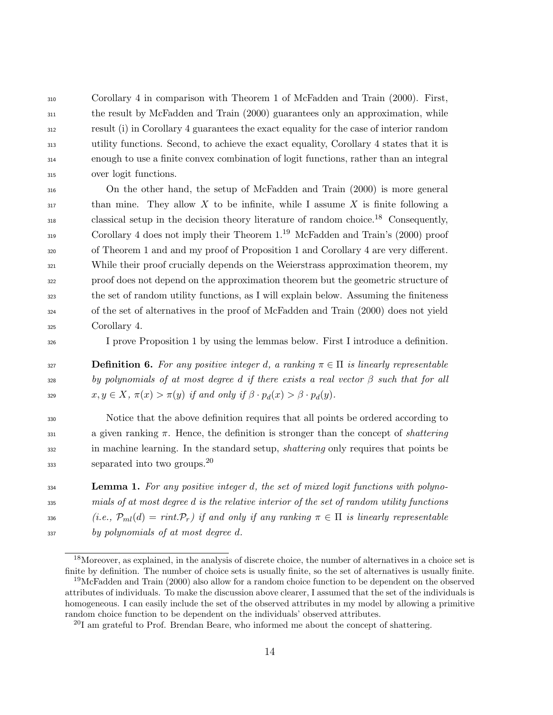Corollary 4 in comparison with Theorem 1 of McFadden and Train (2000). First, the result by McFadden and Train (2000) guarantees only an approximation, while result (i) in Corollary 4 guarantees the exact equality for the case of interior random utility functions. Second, to achieve the exact equality, Corollary 4 states that it is enough to use a finite convex combination of logit functions, rather than an integral over logit functions.

 On the other hand, the setup of McFadden and Train (2000) is more general  $\frac{317}{1317}$  than mine. They allow X to be infinite, while I assume X is finite following a  $\epsilon$  classical setup in the decision theory literature of random choice.<sup>18</sup> Consequently, Corollary 4 does not imply their Theorem  $1.^{19}$  McFadden and Train's (2000) proof of Theorem 1 and and my proof of Proposition 1 and Corollary 4 are very different. While their proof crucially depends on the Weierstrass approximation theorem, my proof does not depend on the approximation theorem but the geometric structure of the set of random utility functions, as I will explain below. Assuming the finiteness of the set of alternatives in the proof of McFadden and Train (2000) does not yield Corollary 4.

<sup>326</sup> I prove Proposition 1 by using the lemmas below. First I introduce a definition.

327 **Definition 6.** For any positive integer d, a ranking  $\pi \in \Pi$  is linearly representable  $328$  by polynomials of at most degree d if there exists a real vector  $\beta$  such that for all 329  $x, y \in X$ ,  $\pi(x) > \pi(y)$  if and only if  $\beta \cdot p_d(x) > \beta \cdot p_d(y)$ .

<sup>330</sup> Notice that the above definition requires that all points be ordered according to 331 a given ranking  $\pi$ . Hence, the definition is stronger than the concept of *shattering* <sup>332</sup> in machine learning. In the standard setup, *shattering* only requires that points be  $\mu$ <sub>333</sub> separated into two groups.<sup>20</sup>

**Lemma 1.** For any positive integer d, the set of mixed logit functions with polyno- mials of at most degree d is the relative interior of the set of random utility functions 336 (i.e.,  $\mathcal{P}_{ml}(d) = rint \mathcal{P}_r$ ) if and only if any ranking  $\pi \in \Pi$  is linearly representable by polynomials of at most degree d.

<sup>&</sup>lt;sup>18</sup>Moreover, as explained, in the analysis of discrete choice, the number of alternatives in a choice set is finite by definition. The number of choice sets is usually finite, so the set of alternatives is usually finite.

<sup>&</sup>lt;sup>19</sup>McFadden and Train (2000) also allow for a random choice function to be dependent on the observed attributes of individuals. To make the discussion above clearer, I assumed that the set of the individuals is homogeneous. I can easily include the set of the observed attributes in my model by allowing a primitive random choice function to be dependent on the individuals' observed attributes.

 $^{20}$ I am grateful to Prof. Brendan Beare, who informed me about the concept of shattering.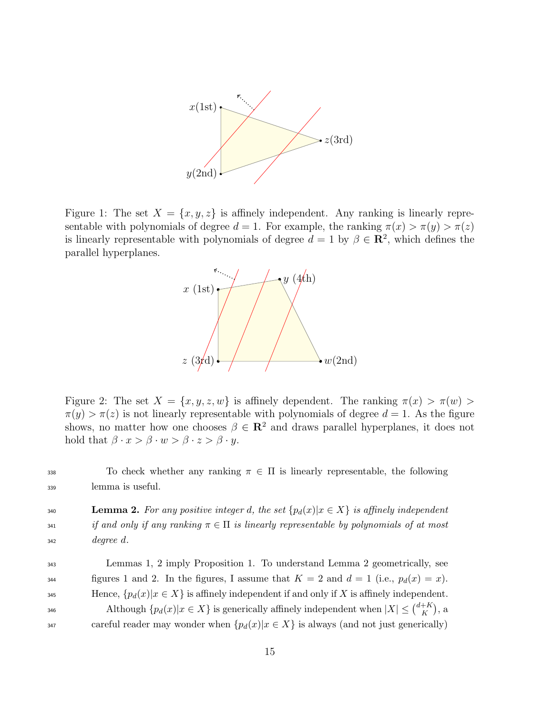

Figure 1: The set  $X = \{x, y, z\}$  is affinely independent. Any ranking is linearly representable with polynomials of degree  $d = 1$ . For example, the ranking  $\pi(x) > \pi(y) > \pi(z)$ is linearly representable with polynomials of degree  $d = 1$  by  $\beta \in \mathbb{R}^2$ , which defines the parallel hyperplanes.



Figure 2: The set  $X = \{x, y, z, w\}$  is affinely dependent. The ranking  $\pi(x) > \pi(w)$  $\pi(y) > \pi(z)$  is not linearly representable with polynomials of degree  $d = 1$ . As the figure shows, no matter how one chooses  $\beta \in \mathbb{R}^2$  and draws parallel hyperplanes, it does not hold that  $\beta \cdot x > \beta \cdot w > \beta \cdot z > \beta \cdot y$ .

338 To check whether any ranking  $\pi \in \Pi$  is linearly representable, the following <sup>339</sup> lemma is useful.

**140 Lemma 2.** For any positive integer d, the set  $\{p_d(x)|x \in X\}$  is affinely independent 341 if and only if any ranking  $\pi \in \Pi$  is linearly representable by polynomials of at most  $_{342}$  degree d.

<sup>343</sup> Lemmas 1, 2 imply Proposition 1. To understand Lemma 2 geometrically, see figures 1 and 2. In the figures, I assume that  $K = 2$  and  $d = 1$  (i.e.,  $p_d(x) = x$ ). 345 Hence,  $\{p_d(x)|x \in X\}$  is affinely independent if and only if X is affinely independent. Although  $\{p_d(x)|x \in X\}$  is generically affinely independent when  $|X| \leq {d+K \choose K}$ 346 Although  $\{p_d(x)|x \in X\}$  is generically affinely independent when  $|X| \leq {d+K \choose K}$ , a 347 careful reader may wonder when  ${p_d(x)|x \in X}$  is always (and not just generically)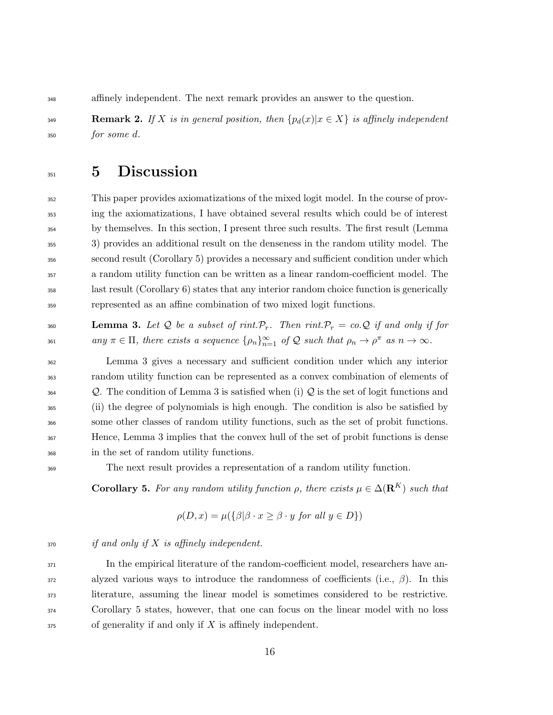affinely independent. The next remark provides an answer to the question.

349 **Remark 2.** If X is in general position, then  $\{p_d(x)|x \in X\}$  is affinely independent  $_{350}$  for some d.

## 5 Discussion

 This paper provides axiomatizations of the mixed logit model. In the course of prov- ing the axiomatizations, I have obtained several results which could be of interest by themselves. In this section, I present three such results. The first result (Lemma 3) provides an additional result on the denseness in the random utility model. The second result (Corollary 5) provides a necessary and sufficient condition under which a random utility function can be written as a linear random-coefficient model. The last result (Corollary 6) states that any interior random choice function is generically represented as an affine combination of two mixed logit functions.

360 **Lemma 3.** Let Q be a subset of rint.  $\mathcal{P}_r$ . Then rint.  $\mathcal{P}_r = co \mathcal{Q}$  if and only if for  $\alpha$ <sub>361</sub> any  $\pi \in \Pi$ , there exists a sequence  $\{\rho_n\}_{n=1}^{\infty}$  of Q such that  $\rho_n \to \rho^{\pi}$  as  $n \to \infty$ .

 Lemma 3 gives a necessary and sufficient condition under which any interior random utility function can be represented as a convex combination of elements of  $\mathcal{Q}$ . The condition of Lemma 3 is satisfied when (i)  $\mathcal{Q}$  is the set of logit functions and (ii) the degree of polynomials is high enough. The condition is also be satisfied by some other classes of random utility functions, such as the set of probit functions. Hence, Lemma 3 implies that the convex hull of the set of probit functions is dense in the set of random utility functions.

The next result provides a representation of a random utility function.

**Corollary 5.** For any random utility function  $\rho$ , there exists  $\mu \in \Delta(\mathbf{R}^K)$  such that

$$
\rho(D, x) = \mu(\{\beta | \beta \cdot x \ge \beta \cdot y \text{ for all } y \in D\})
$$

 $\begin{array}{ll}\n\text{370} \\
\text{371} \\
\text{372}\n\end{array}$  if and only if X is affinely independent.

 In the empirical literature of the random-coefficient model, researchers have an- alyzed various ways to introduce the randomness of coefficients (i.e.,  $\beta$ ). In this literature, assuming the linear model is sometimes considered to be restrictive. Corollary 5 states, however, that one can focus on the linear model with no loss of generality if and only if X is affinely independent.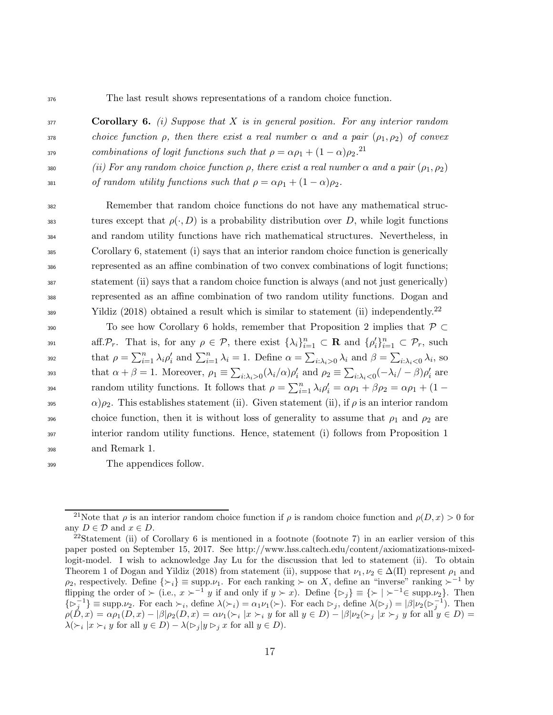<sup>376</sup> The last result shows representations of a random choice function.

 $377$  Corollary 6. (i) Suppose that X is in general position. For any interior random 378 choice function  $\rho$ , then there exist a real number  $\alpha$  and a pair  $(\rho_1, \rho_2)$  of convex <sup>379</sup> combinations of logit functions such that  $\rho = \alpha \rho_1 + (1 - \alpha) \rho_2$ .<sup>21</sup>

380 (ii) For any random choice function  $\rho$ , there exist a real number  $\alpha$  and a pair  $(\rho_1, \rho_2)$ 

381 of random utility functions such that  $\rho = \alpha \rho_1 + (1 - \alpha) \rho_2$ .

 Remember that random choice functions do not have any mathematical struc-383 tures except that  $\rho(\cdot, D)$  is a probability distribution over D, while logit functions and random utility functions have rich mathematical structures. Nevertheless, in Corollary 6, statement (i) says that an interior random choice function is generically represented as an affine combination of two convex combinations of logit functions; statement (ii) says that a random choice function is always (and not just generically) represented as an affine combination of two random utility functions. Dogan and  $\frac{y_{389}}{y_{389}}$  Yildiz (2018) obtained a result which is similar to statement (ii) independently.<sup>22</sup>

390 To see how Corollary 6 holds, remember that Proposition 2 implies that  $\mathcal{P} \subset$ aff.  $\mathcal{P}_r$ . That is, for any  $\rho \in \mathcal{P}$ , there exist  $\{\lambda_i\}_{i=1}^n \subset \mathbf{R}$  and  $\{\rho'_i\}_{i=1}^n \subset \mathcal{P}_r$ , such that  $\rho = \sum_{i=1}^n \lambda_i \rho'_i$  and  $\sum_{i=1}^n \lambda_i = 1$ . Define  $\alpha = \sum_{i:\lambda_i>0} \lambda_i$  and  $\beta = \sum_{i:\lambda_i<0} \lambda_i$ , so that  $\alpha + \beta = 1$ . Moreover,  $\rho_1 \equiv \sum_{i:\lambda_i>0} (\lambda_i/\alpha)\rho'_i$  and  $\rho_2 \equiv \sum_{i:\lambda_i<0} (-\lambda_i/\beta)\rho'_i$  are random utility functions. It follows that  $\rho = \sum_{i=1}^n \lambda_i \rho'_i = \alpha \rho_1 + \beta \rho_2 = \alpha \rho_1 + (1 - \mu)$ 395  $\alpha$ ) $\rho_2$ . This establishes statement (ii). Given statement (ii), if  $\rho$  is an interior random 396 choice function, then it is without loss of generality to assume that  $\rho_1$  and  $\rho_2$  are <sup>397</sup> interior random utility functions. Hence, statement (i) follows from Proposition 1 <sup>398</sup> and Remark 1.

<sup>399</sup> The appendices follow.

<sup>&</sup>lt;sup>21</sup>Note that  $\rho$  is an interior random choice function if  $\rho$  is random choice function and  $\rho(D, x) > 0$  for any  $D \in \mathcal{D}$  and  $x \in D$ .

<sup>&</sup>lt;sup>22</sup>Statement (ii) of Corollary 6 is mentioned in a footnote (footnote 7) in an earlier version of this paper posted on September 15, 2017. See http://www.hss.caltech.edu/content/axiomatizations-mixedlogit-model. I wish to acknowledge Jay Lu for the discussion that led to statement (ii). To obtain Theorem 1 of Dogan and Yildiz (2018) from statement (ii), suppose that  $\nu_1, \nu_2 \in \Delta(\Pi)$  represent  $\rho_1$  and  $\rho_2$ , respectively. Define  $\{\succ_i\} \equiv \text{supp.}\nu_1$ . For each ranking ≻ on X, define an "inverse" ranking ≻<sup>−1</sup> by flipping the order of ≻ (i.e.,  $x \succ^{-1} y$  if and only if  $y \succ x$ ). Define  $\{\rhd_j\} = {\succ \vdash^{-1} \in \text{supp.} \nu_2\}$ . Then  $\{\triangleright_j^{-1}\}\equiv \text{supp.}\nu_2$ . For each  $\succ_i$ , define  $\lambda(\succ_i) = \alpha_1 \nu_1(\succ)$ . For each  $\triangleright_j$ , define  $\lambda(\triangleright_j) = |\beta| \nu_2(\triangleright_j^{-1})$ . Then  $\rho(D,x) = \alpha \rho_1(D,x) - |\beta| \rho_2(D,x) = \alpha \nu_1(\succ_i |x \succ_i y \text{ for all } y \in D) - |\beta| \nu_2(\succ_j |x \succ_j y \text{ for all } y \in D) =$  $\lambda(\succ_i | x \succ_i y \text{ for all } y \in D) - \lambda(\succ_j | y \succ_j x \text{ for all } y \in D).$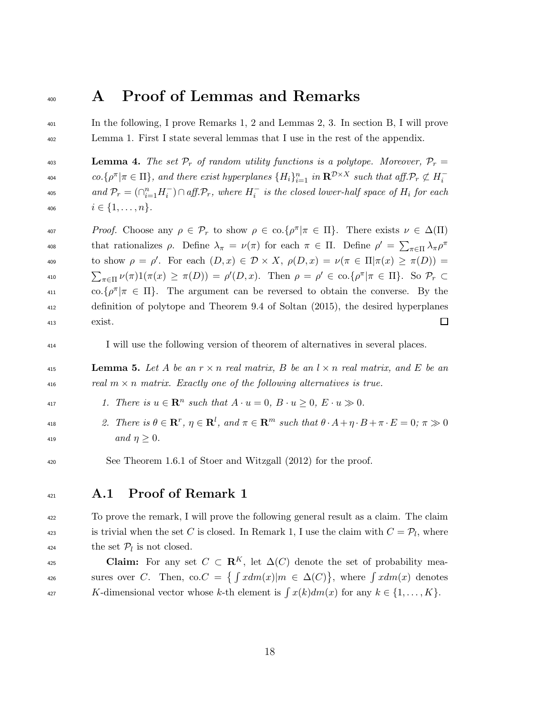### <sup>400</sup> A Proof of Lemmas and Remarks

<sup>401</sup> In the following, I prove Remarks 1, 2 and Lemmas 2, 3. In section B, I will prove <sup>402</sup> Lemma 1. First I state several lemmas that I use in the rest of the appendix.

403 **Lemma 4.** The set  $\mathcal{P}_r$  of random utility functions is a polytope. Moreover,  $\mathcal{P}_r$  =  $co.\{\rho^{\pi}|\pi \in \Pi\}$ , and there exist hyperplanes  $\{H_i\}_{i=1}^n$  in  $\mathbb{R}^{\mathcal{D}\times X}$  such that aff. $\mathcal{P}_r \not\subset H_i^-$ 404 <sup>405</sup> and  $\mathcal{P}_r = (\cap_{i=1}^n H_i^-) \cap aff \mathcal{P}_r$ , where  $H_i^-$  is the closed lower-half space of  $H_i$  for each 406  $i \in \{1, \ldots, n\}.$ 

<sup>407</sup> *Proof.* Choose any  $ρ ∈ P_r$  to show  $ρ ∈ co.\{ρ<sup>π</sup> | π ∈ Π\}$ . There exists  $ν ∈ Δ(Π)$ that rationalizes  $\rho$ . Define  $\lambda_{\pi} = \nu(\pi)$  for each  $\pi \in \Pi$ . Define  $\rho' = \sum_{\pi \in \Pi} \lambda_{\pi} \rho^{\pi}$ 408 to show  $\rho = \rho'$ . For each  $(D, x) \in \mathcal{D} \times X$ ,  $\rho(D, x) = \nu(\pi \in \Pi | \pi(x) \geq \pi(D))$ 410  $\sum_{\pi \in \Pi} \nu(\pi) 1(\pi(x) \geq \pi(D)) = \rho'(D, x)$ . Then  $\rho = \rho' \in \text{co.}\{\rho^{\pi} | \pi \in \Pi\}$ . So  $\mathcal{P}_r \subset$  $\alpha_{11}$  co. $\{\rho^{\pi} | \pi \in \Pi\}$ . The argument can be reversed to obtain the converse. By the <sup>412</sup> definition of polytope and Theorem 9.4 of Soltan (2015), the desired hyperplanes <sup>413</sup> exist.  $\Box$ 

<sup>414</sup> I will use the following version of theorem of alternatives in several places.

**415 Lemma 5.** Let A be an  $r \times n$  real matrix, B be an  $l \times n$  real matrix, and E be an 416 real  $m \times n$  matrix. Exactly one of the following alternatives is true.

417 1. There is  $u \in \mathbb{R}^n$  such that  $A \cdot u = 0$ ,  $B \cdot u \ge 0$ ,  $E \cdot u \gg 0$ .

- <sup>418</sup> 2. There is  $\theta \in \mathbb{R}^r$ ,  $\eta \in \mathbb{R}^l$ , and  $\pi \in \mathbb{R}^m$  such that  $\theta \cdot A + \eta \cdot B + \pi \cdot E = 0$ ;  $\pi \gg 0$ 419  $and \eta \geq 0.$
- <sup>420</sup> See Theorem 1.6.1 of Stoer and Witzgall (2012) for the proof.
- <sup>421</sup> A.1 Proof of Remark 1

<sup>422</sup> To prove the remark, I will prove the following general result as a claim. The claim <sup>423</sup> is trivial when the set C is closed. In Remark 1, I use the claim with  $C = \mathcal{P}_l$ , where <sup>424</sup> the set  $\mathcal{P}_l$  is not closed.

**Claim:** For any set  $C \subset \mathbb{R}^K$ , let  $\Delta(C)$  denote the set of probability mea-<sup>426</sup> sures over C. Then, co. $C = \{ \int x dm(x) | m \in \Delta(C) \}$ , where  $\int x dm(x)$  denotes 427 K-dimensional vector whose k-th element is  $\int x(k)dm(x)$  for any  $k \in \{1, \ldots, K\}$ .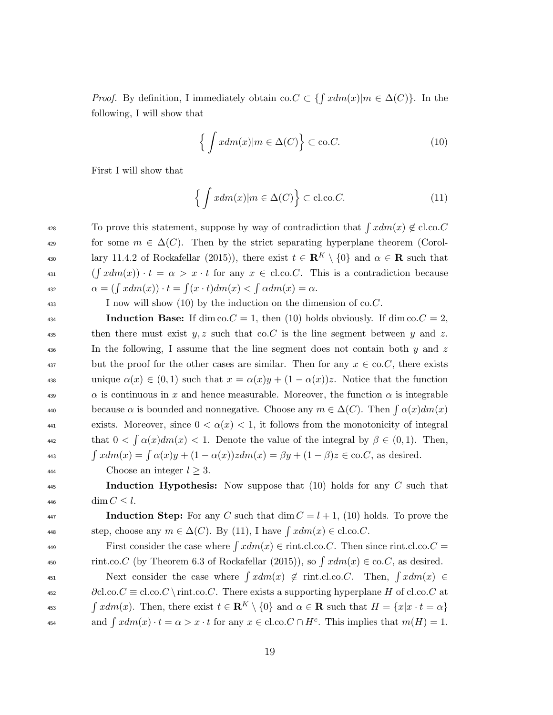*Proof.* By definition, I immediately obtain co.  $C \subset \{ \int x dm(x) | m \in \Delta(C) \}$ . In the following, I will show that

$$
\left\{ \int x dm(x) | m \in \Delta(C) \right\} \subset \text{co.}C. \tag{10}
$$

First I will show that

$$
\left\{ \int x dm(x) | m \in \Delta(C) \right\} \subset \text{cl.co.} C. \tag{11}
$$

428 To prove this statement, suppose by way of contradiction that  $\int x dm(x) \notin \text{cl.co.}C$ 429 for some  $m \in \Delta(C)$ . Then by the strict separating hyperplane theorem (Corol-<sup>430</sup> lary 11.4.2 of Rockafellar (2015)), there exist  $t \in \mathbb{R}^K \setminus \{0\}$  and  $\alpha \in \mathbb{R}$  such that 431  $(\int x dm(x)) \cdot t = \alpha > x \cdot t$  for any  $x \in$  cl.co.C. This is a contradiction because  $\alpha = (\int x dm(x)) \cdot t = \int (x \cdot t) dm(x) < \int \alpha dm(x) = \alpha.$ 

<sup>433</sup> I now will show (10) by the induction on the dimension of co.C.

**Induction Base:** If dim co.  $C = 1$ , then (10) holds obviously. If dim co.  $C = 2$ , 435 then there must exist  $y, z$  such that co.C is the line segment between y and z.  $\mu_{436}$  In the following, I assume that the line segment does not contain both y and z 437 but the proof for the other cases are similar. Then for any  $x \in \text{co.}C$ , there exists 438 unique  $\alpha(x) \in (0,1)$  such that  $x = \alpha(x)y + (1 - \alpha(x))z$ . Notice that the function  $\alpha$  is continuous in x and hence measurable. Moreover, the function  $\alpha$  is integrable because  $\alpha$  is bounded and nonnegative. Choose any  $m \in \Delta(C)$ . Then  $\int \alpha(x) dm(x)$ exists. Moreover, since  $0 < \alpha(x) < 1$ , it follows from the monotonicity of integral that  $0 < \int \alpha(x) dm(x) < 1$ . Denote the value of the integral by  $\beta \in (0, 1)$ . Then, 443  $\int x dm(x) = \int \alpha(x) y + (1 - \alpha(x))z dm(x) = \beta y + (1 - \beta)z \in \text{co.}C$ , as desired.

444 Choose an integer  $l \geq 3$ .

445 **Induction Hypothesis:** Now suppose that (10) holds for any C such that 446 dim  $C \leq l$ .

447 **Induction Step:** For any C such that  $\dim C = l + 1$ , (10) holds. To prove the step, choose any  $m \in \Delta(C)$ . By (11), I have  $\int x dm(x) \in \text{cl.co.}C$ .

First consider the case where  $\int x dm(x) \in \text{rint}.c$ .co.C. Then since rint.cl.co.C = 450 rint.co.C (by Theorem 6.3 of Rockafellar (2015)), so  $\int x dm(x) \in \text{co.}C$ , as desired.  $N$ ext consider the case where  $\int x dm(x) \notin \text{rint.cl.co.C.}$  Then,  $\int x dm(x) \in$  $\partial c \cdot \partial c \cdot C \equiv \text{cl.co}.C \mid \text{inter} \in \text{exists a supporting hyperplane } H \text{ of cl.co}.C \text{ at } t \in \text{def} \in \text{def} \in \text{def} \in \text{def} \in \text{def} \in \text{def} \in \text{def} \in \text{def} \in \text{def} \in \text{def} \in \text{def} \in \text{def} \in \text{def} \in \text{def} \in \text{def} \in \text{def} \in \text{def} \in \text{def} \in \text{def} \in \text{def} \in \text{def} \in \text{def} \in \text{def} \in \text{def$ 

453  $\int x dm(x)$ . Then, there exist  $t \in \mathbf{R}^K \setminus \{0\}$  and  $\alpha \in \mathbf{R}$  such that  $H = \{x | x \cdot t = \alpha\}$ ass and  $\int x dm(x) \cdot t = \alpha > x \cdot t$  for any  $x \in \text{cl.co.} C \cap H^c$ . This implies that  $m(H) = 1$ .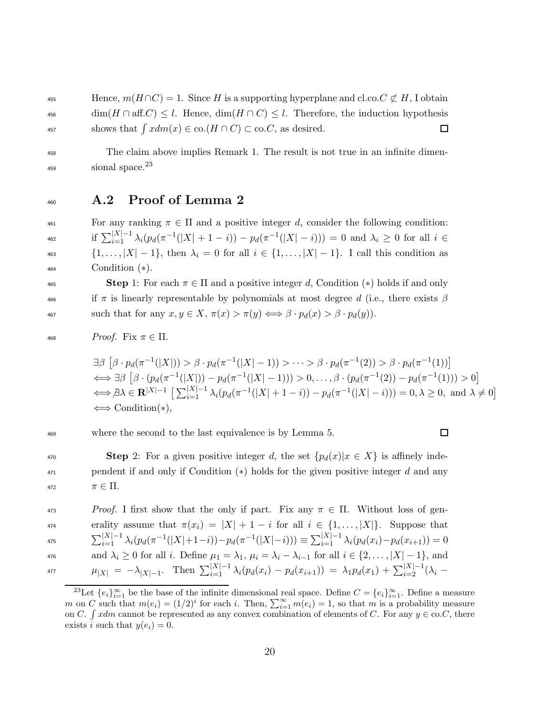455 Hence,  $m(H \cap C) = 1$ . Since H is a supporting hyperplane and cl.co.  $C \not\subset H$ , I obtain  $\dim(H \cap \text{aff.} C) \leq l$ . Hence,  $\dim(H \cap C) \leq l$ . Therefore, the induction hypothesis 457 shows that  $\int x dm(x) \in \text{co.}(H \cap C) \subset \text{co.}C$ , as desired. □

<sup>458</sup> The claim above implies Remark 1. The result is not true in an infinite dimen- $_{459}$   $\qquad$  sional space.<sup>23</sup>

<sup>460</sup> A.2 Proof of Lemma 2

 For any ranking  $π ∈ Π$  and a positive integer d, consider the following condition: <sup>462</sup> if  $\sum_{i=1}^{|X|-1} \lambda_i (p_d(\pi^{-1}(|X|+1-i)) - p_d(\pi^{-1}(|X|-i))) = 0$  and  $\lambda_i \geq 0$  for all  $i \in$  $\{1, ..., |X| - 1\}$ , then  $\lambda_i = 0$  for all  $i \in \{1, ..., |X| - 1\}$ . I call this condition as Condition (∗).

**Step** 1: For each  $\pi \in \Pi$  and a positive integer d, Condition (\*) holds if and only 466 if  $\pi$  is linearly representable by polynomials at most degree d (i.e., there exists  $\beta$ 467 such that for any  $x, y \in X$ ,  $\pi(x) > \pi(y) \Longleftrightarrow \beta \cdot p_d(x) > \beta \cdot p_d(y)$ .

<sup>468</sup> Proof. Fix π ∈ Π.

 $\exists \beta \left[ \beta \cdot p_d(\pi^{-1}(|X|)) > \beta \cdot p_d(\pi^{-1}(|X|-1)) > \cdots > \beta \cdot p_d(\pi^{-1}(2)) > \beta \cdot p_d(\pi^{-1}(1)) \right]$  $\iff \exists \beta \left[ \beta \cdot (p_d(\pi^{-1}(|X|)) - p_d(\pi^{-1}(|X|-1))) > 0, \ldots, \beta \cdot (p_d(\pi^{-1}(2)) - p_d(\pi^{-1}(1))) > 0 \right]$  $\Longleftrightarrow \exists \lambda \in \mathbf{R}^{|X|-1} \left[ \sum_{i=1}^{|X|-1} \lambda_i (p_d(\pi^{-1}(|X|+1-i)) - p_d(\pi^{-1}(|X|-i))) = 0, \lambda \ge 0, \text{ and } \lambda \ne 0 \right]$ ⇐⇒ Condition(∗),

<sup>469</sup> where the second to the last equivalence is by Lemma 5.

 $\Box$ 

470 **Step** 2: For a given positive integer d, the set  ${p_d(x)|x \in X}$  is affinely inde- $471$  pendent if and only if Condition (\*) holds for the given positive integer d and any 472  $\pi \in \Pi$ .

<sup>473</sup> Proof. I first show that the only if part. Fix any  $\pi \in \Pi$ . Without loss of generality assume that  $\pi(x_i) = |X| + 1 - i$  for all  $i \in \{1, ..., |X|\}$ . Suppose that 475  $\sum_{i=1}^{|X|-1} \lambda_i (p_d(\pi^{-1}(|X|+1-i)) - p_d(\pi^{-1}(|X|-i))) \equiv \sum_{i=1}^{|X|-1} \lambda_i (p_d(x_i) - p_d(x_{i+1})) = 0$ 476 and  $\lambda_i \geq 0$  for all i. Define  $\mu_1 = \lambda_1$ ,  $\mu_i = \lambda_i - \lambda_{i-1}$  for all  $i \in \{2, \dots, |X| - 1\}$ , and 477  $\mu_{|X|} = -\lambda_{|X|-1}$ . Then  $\sum_{i=1}^{|X|-1} \lambda_i (p_d(x_i) - p_d(x_{i+1})) = \lambda_1 p_d(x_1) + \sum_{i=2}^{|X|-1} (\lambda_i -$ 

<sup>&</sup>lt;sup>23</sup>Let  $\{e_i\}_{i=1}^{\infty}$  be the base of the infinite dimensional real space. Define  $C = \{e_i\}_{i=1}^{\infty}$ . Define a measure m on C such that  $m(e_i) = (1/2)^i$  for each i. Then,  $\sum_{i=1}^{\infty} m(e_i) = 1$ , so that m is a probability measure on C.  $\int xdm$  cannot be represented as any convex combination of elements of C. For any  $y \in \text{co.}C$ , there exists i such that  $y(e_i) = 0$ .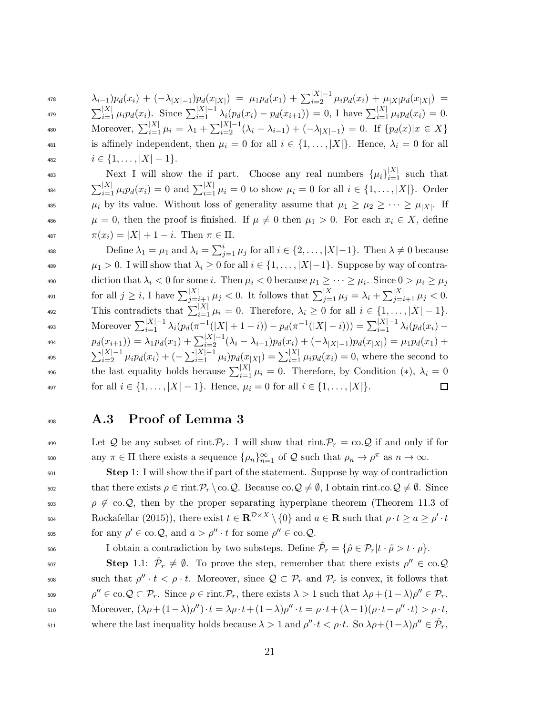$$
\lambda_{i-1})p_d(x_i) + (-\lambda_{|X|-1})p_d(x_{|X|}) = \mu_1 p_d(x_1) + \sum_{i=2}^{|X|-1} \mu_i p_d(x_i) + \mu_{|X|} p_d(x_{|X|}) =
$$

479  $\sum_{i=1}^{|X|} \mu_i p_d(x_i)$ . Since  $\sum_{i=1}^{|X|-1} \lambda_i (p_d(x_i) - p_d(x_{i+1})) = 0$ , I have  $\sum_{i=1}^{|X|} \mu_i p_d(x_i) = 0$ . 480 Moreover,  $\sum_{i=1}^{|X|} \mu_i = \lambda_1 + \sum_{i=2}^{|X|-1} (\lambda_i - \lambda_{i-1}) + (-\lambda_{|X|-1}) = 0$ . If  $\{p_d(x)|x \in X\}$ 481 is affinely independent, then  $\mu_i = 0$  for all  $i \in \{1, ..., |X|\}$ . Hence,  $\lambda_i = 0$  for all 482  $i \in \{1, \ldots, |X| - 1\}.$ 

Ass Next I will show the if part. Choose any real numbers  $\{\mu_i\}_{i=1}^{|X|}$  such that  $\sum_{i=1}^{|X|} \mu_i p_d(x_i) = 0$  and  $\sum_{i=1}^{|X|} \mu_i = 0$  to show  $\mu_i = 0$  for all  $i \in \{1, ..., |X|\}$ . Order  $\mu_i$  by its value. Without loss of generality assume that  $\mu_1 \geq \mu_2 \geq \cdots \geq \mu_{|X|}$ . If  $\mu = 0$ , then the proof is finished. If  $\mu \neq 0$  then  $\mu_1 > 0$ . For each  $x_i \in X$ , define  $\pi(x_i) = |X| + 1 - i$ . Then  $\pi \in \Pi$ .

488 Define  $\lambda_1 = \mu_1$  and  $\lambda_i = \sum_{j=1}^i \mu_j$  for all  $i \in \{2, ..., |X|-1\}$ . Then  $\lambda \neq 0$  because 489  $\mu_1 > 0$ . I will show that  $\lambda_i \geq 0$  for all  $i \in \{1, \ldots, |X|-1\}$ . Suppose by way of contra-490 diction that  $\lambda_i < 0$  for some i. Then  $\mu_i < 0$  because  $\mu_1 \geq \cdots \geq \mu_i$ . Since  $0 > \mu_i \geq \mu_j$ for all  $j \ge i$ , I have  $\sum_{j=i+1}^{|X|} \mu_j < 0$ . It follows that  $\sum_{j=1}^{|X|} \mu_j = \lambda_i + \sum_{j=i+1}^{|X|} \mu_j < 0$ . This contradicts that  $\sum_{i=1}^{|X|} \mu_i = 0$ . Therefore,  $\lambda_i \geq 0$  for all  $i \in \{1, \ldots, |X| - 1\}$ . A93 Moreover  $\sum_{i=1}^{|X|-1} \lambda_i (p_d(\pi^{-1}(|X|+1-i)) - p_d(\pi^{-1}(|X|-i))) = \sum_{i=1}^{|X|-1} \lambda_i (p_d(x_i) - p_d(x_i))$  $p_d(x_{i+1}) = \lambda_1 p_d(x_1) + \sum_{i=2}^{|X|-1} (\lambda_i - \lambda_{i-1}) p_d(x_i) + (-\lambda_{|X|-1}) p_d(x_{|X|}) = \mu_1 p_d(x_1) +$ <sup>495</sup>  $\sum_{i=2}^{|X|-1} \mu_i p_d(x_i) + (-\sum_{i=1}^{|X|-1} \mu_i) p_d(x_{|X|}) = \sum_{i=1}^{|X|} \mu_i p_d(x_i) = 0$ , where the second to the last equality holds because  $\sum_{i=1}^{|X|} \mu_i = 0$ . Therefore, by Condition (\*),  $\lambda_i = 0$ 497 for all  $i \in \{1, ..., |X|-1\}$ . Hence,  $\mu_i = 0$  for all  $i \in \{1, ..., |X|\}$ .  $\Box$ 

#### <sup>498</sup> A.3 Proof of Lemma 3

499 Let Q be any subset of rint.  $\mathcal{P}_r$ . I will show that rint.  $\mathcal{P}_r = \text{co.}Q$  if and only if for soo any  $\pi \in \Pi$  there exists a sequence  $\{\rho_n\}_{n=1}^{\infty}$  of  $\mathcal Q$  such that  $\rho_n \to \rho^{\pi}$  as  $n \to \infty$ .

<sup>501</sup> Step 1: I will show the if part of the statement. Suppose by way of contradiction 502 that there exists  $\rho \in \text{rint.}$   $\mathcal{P}_r \setminus \text{co.} \mathcal{Q}$ . Because  $\text{co.} \mathcal{Q} \neq \emptyset$ , I obtain rint.co. $\mathcal{Q} \neq \emptyset$ . Since 503  $\rho \notin \infty. \mathcal{Q}$ , then by the proper separating hyperplane theorem (Theorem 11.3 of For Rockafellar (2015)), there exist  $t \in \mathbb{R}^{\mathcal{D} \times X} \setminus \{0\}$  and  $a \in \mathbb{R}$  such that  $\rho \cdot t \geq a \geq \rho' \cdot t$ for any  $\rho' \in \text{co.}Q$ , and  $a > \rho'' \cdot t$  for some  $\rho'' \in \text{co.}Q$ .

506 I obtain a contradiction by two substeps. Define  $\hat{\mathcal{P}}_r = \{\hat{\rho} \in \mathcal{P}_r | t \cdot \hat{\rho} > t \cdot \rho\}.$ 

Step 1.1:  $\hat{\mathcal{P}}_r \neq \emptyset$ . To prove the step, remember that there exists  $\rho'' \in \text{co.} \mathcal{Q}$ sos such that  $\rho'' \cdot t < \rho \cdot t$ . Moreover, since  $\mathcal{Q} \subset \mathcal{P}_r$  and  $\mathcal{P}_r$  is convex, it follows that  $\rho'' \in \text{co.}\mathcal{Q} \subset \mathcal{P}_r$ . Since  $\rho \in \text{rint.}\mathcal{P}_r$ , there exists  $\lambda > 1$  such that  $\lambda \rho + (1 - \lambda) \rho'' \in \mathcal{P}_r$ .  $\text{Moreover, } (\lambda \rho + (1 - \lambda) \rho'') \cdot t = \lambda \rho \cdot t + (1 - \lambda) \rho'' \cdot t = \rho \cdot t + (\lambda - 1)(\rho \cdot t - \rho'' \cdot t) > \rho \cdot t,$ s11 where the last inequality holds because  $λ > 1$  and  $ρ'' \cdot t < ρ \cdot t$ . So  $λρ+(1-λ)ρ'' ∈ \hat{P}_r$ ,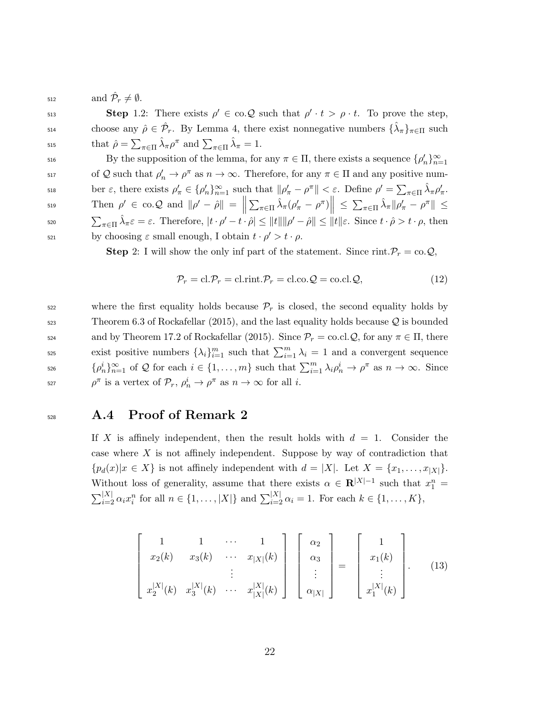$\text{and } \mathcal{P}_r \neq \emptyset.$ 

Step 1.2: There exists  $\rho' \in \text{co.} \mathcal{Q}$  such that  $\rho' \cdot t > \rho \cdot t$ . To prove the step, choose any  $\hat{\rho} \in \hat{\mathcal{P}}_r$ . By Lemma 4, there exist nonnegative numbers  $\{\hat{\lambda}_\pi\}_{\pi \in \Pi}$  such  $\text{that } \hat{\rho} = \sum_{\pi \in \Pi} \hat{\lambda}_{\pi} \rho^{\pi} \text{ and } \sum_{\pi \in \Pi} \hat{\lambda}_{\pi} = 1.$ 

 $s<sub>16</sub>$  By the supposition of the lemma, for any  $\pi \in \Pi$ , there exists a sequence  $\{\rho'_n\}_{n=1}^{\infty}$ 517 of Q such that  $\rho'_n \to \rho^\pi$  as  $n \to \infty$ . Therefore, for any  $\pi \in \Pi$  and any positive number  $\varepsilon$ , there exists  $\rho'_{\pi} \in {\{\rho'_{n}\}}_{n=1}^{\infty}$  such that  $\|\rho'_{\pi} - \rho^{\pi}\| < \varepsilon$ . Define  $\rho' = \sum_{\pi \in \Pi} \hat{\lambda}_{\pi} \rho'_{\pi}$ .  $\text{Then } \rho' \in \text{co.}\mathcal{Q} \text{ and } \|\rho' - \hat{\rho}\| = \left\| \sum_{\pi \in \Pi} \hat{\lambda}_{\pi} (\rho'_{\pi} - \rho^{\pi}) \right\| \leq \sum_{\pi \in \Pi} \hat{\lambda}_{\pi} \|\rho'_{\pi} - \rho^{\pi}\| \leq \sum_{\pi \in \Pi} \hat{\lambda}_{\pi} \|\rho'_{\pi} - \rho^{\pi}\| \leq \sum_{\pi \in \Pi} \hat{\lambda}_{\pi} \|\rho'_{\pi} - \rho^{\pi}\| \leq \sum_{\pi \in \Pi} \hat{\lambda}_{\pi} \|\rho'_{\pi} - \$  $\parallel$  $\nonumber$ <sub>520</sub>  $\sum_{\pi \in \Pi} \hat{\lambda}_{\pi} \varepsilon = \varepsilon$ . Therefore,  $|t \cdot \rho' - t \cdot \hat{\rho}| \leq ||t|| ||\rho' - \hat{\rho}|| \leq ||t|| \varepsilon$ . Since  $t \cdot \hat{\rho} > t \cdot \rho$ , then  $b$ y choosing *ε* small enough, I obtain  $t \cdot \rho' > t \cdot \rho$ .

**Step** 2: I will show the only inf part of the statement. Since rint.  $\mathcal{P}_r = \text{co.} \mathcal{Q},$ 

$$
\mathcal{P}_r = \text{cl.}\mathcal{P}_r = \text{cl.}\text{rint.}\mathcal{P}_r = \text{cl.co.}\mathcal{Q} = \text{co.}\text{cl.}\mathcal{Q},\tag{12}
$$

 $522$  where the first equality holds because  $\mathcal{P}_r$  is closed, the second equality holds by  $523$  Theorem 6.3 of Rockafellar (2015), and the last equality holds because  $\mathcal Q$  is bounded 524 and by Theorem 17.2 of Rockafellar (2015). Since  $\mathcal{P}_r = \text{co.cl}.\mathcal{Q}$ , for any  $\pi \in \Pi$ , there exist positive numbers  $\{\lambda_i\}_{i=1}^m$  such that  $\sum_{i=1}^m \lambda_i = 1$  and a convergent sequence  $\{\rho_n^i\}_{n=1}^\infty$  of Q for each  $i \in \{1, \ldots, m\}$  such that  $\sum_{i=1}^m \lambda_i \rho_n^i \to \rho^\pi$  as  $n \to \infty$ . Since <sup>*n*</sup> is a vertex of  $\mathcal{P}_r$ ,  $\rho_n^i \to \rho^\pi$  as  $n \to \infty$  for all *i*.

#### <sup>528</sup> A.4 Proof of Remark 2

If X is affinely independent, then the result holds with  $d = 1$ . Consider the case where X is not affinely independent. Suppose by way of contradiction that  ${p_d(x)|x \in X}$  is not affinely independent with  $d = |X|$ . Let  $X = {x_1, \ldots, x_{|X|}}$ . Without loss of generality, assume that there exists  $\alpha \in \mathbb{R}^{|X|-1}$  such that  $x_1^n =$  $\sum_{i=2}^{|X|} \alpha_i x_i^n$  for all  $n \in \{1, ..., |X|\}$  and  $\sum_{i=2}^{|X|} \alpha_i = 1$ . For each  $k \in \{1, ..., K\}$ ,

$$
\begin{bmatrix}\n1 & 1 & \cdots & 1 \\
x_2(k) & x_3(k) & \cdots & x_{|X|}(k) \\
\vdots & \vdots & \ddots & \vdots \\
x_2^{|X|}(k) & x_3^{|X|}(k) & \cdots & x_{|X|}^{|X|}(k)\n\end{bmatrix}\n\begin{bmatrix}\n\alpha_2 \\
\alpha_3 \\
\vdots \\
\alpha_{|X|}\n\end{bmatrix} =\n\begin{bmatrix}\n1 \\
x_1(k) \\
\vdots \\
x_1^{|X|}(k)\n\end{bmatrix}.
$$
\n(13)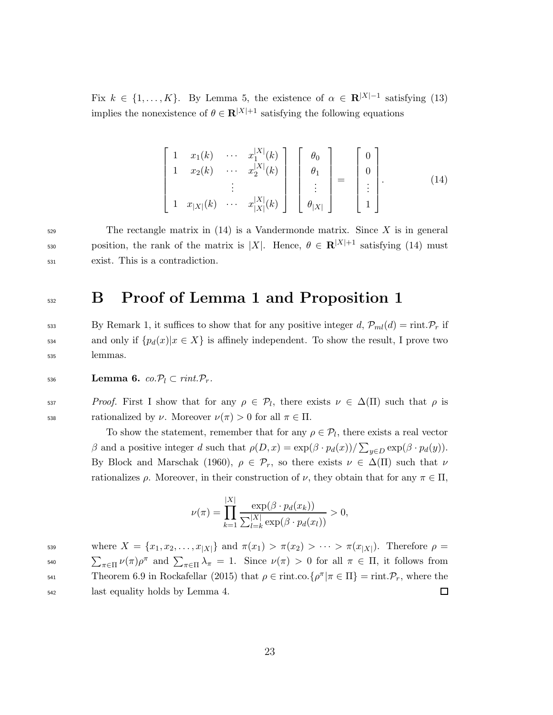Fix  $k \in \{1, ..., K\}$ . By Lemma 5, the existence of  $\alpha \in \mathbb{R}^{|X|-1}$  satisfying (13) implies the nonexistence of  $\theta \in \mathbf{R}^{|X|+1}$  satisfying the following equations

$$
\begin{bmatrix}\n1 & x_1(k) & \cdots & x_1^{|X|}(k) \\
1 & x_2(k) & \cdots & x_2^{|X|}(k) \\
\vdots & \vdots & \ddots & \vdots \\
1 & x_{|X|}(k) & \cdots & x_{|X|}^{|X|}(k)\n\end{bmatrix}\n\begin{bmatrix}\n\theta_0 \\
\theta_1 \\
\vdots \\
\theta_{|X|}\n\end{bmatrix} =\n\begin{bmatrix}\n0 \\
0 \\
\vdots \\
1\n\end{bmatrix}.
$$
\n(14)

 $\mathcal{F}_{529}$  The rectangle matrix in (14) is a Vandermonde matrix. Since X is in general position, the rank of the matrix is |X|. Hence,  $\theta \in \mathbb{R}^{|X|+1}$  satisfying (14) must <sup>531</sup> exist. This is a contradiction.

### 532 B Proof of Lemma 1 and Proposition 1

533 By Remark 1, it suffices to show that for any positive integer d,  $\mathcal{P}_{ml}(d) = \text{rint.} \mathcal{P}_r$  if 534 and only if  ${p_d(x)|x \in X}$  is affinely independent. To show the result, I prove two <sup>535</sup> lemmas.

536 **Lemma 6.** co. $\mathcal{P}_l \subset \text{rint.} \mathcal{P}_r$ .

 $P\text{roof. First I show that for any } \rho \in \mathcal{P}_l$ , there exists  $\nu \in \Delta(\Pi)$  such that  $\rho$  is 538 rationalized by  $\nu$ . Moreover  $\nu(\pi) > 0$  for all  $\pi \in \Pi$ .

> To show the statement, remember that for any  $\rho \in \mathcal{P}_l$ , there exists a real vector β and a positive integer d such that  $ρ(D, x) = \exp(β \cdot p_d(x))/\sum_{y \in D} \exp(β \cdot p_d(y)).$ By Block and Marschak (1960),  $\rho \in \mathcal{P}_r$ , so there exists  $\nu \in \Delta(\Pi)$  such that  $\nu$ rationalizes  $\rho$ . Moreover, in their construction of  $\nu$ , they obtain that for any  $\pi \in \Pi$ ,

$$
\nu(\pi) = \prod_{k=1}^{|X|} \frac{\exp(\beta \cdot p_d(x_k))}{\sum_{l=k}^{|X|} \exp(\beta \cdot p_d(x_l))} > 0,
$$

539 where  $X = \{x_1, x_2, \ldots, x_{|X|}\}\$  and  $\pi(x_1) > \pi(x_2) > \cdots > \pi(x_{|X|})$ . Therefore  $\rho =$ 540  $\sum_{\pi \in \Pi} \nu(\pi) \rho^{\pi}$  and  $\sum_{\pi \in \Pi} \lambda_{\pi} = 1$ . Since  $\nu(\pi) > 0$  for all  $\pi \in \Pi$ , it follows from Theorem 6.9 in Rockafellar (2015) that  $\rho \in \text{rint}$ .co. $\{\rho^{\pi} | \pi \in \Pi\} = \text{rint}$ . $\mathcal{P}_r$ , where the <sup>542</sup> last equality holds by Lemma 4.  $\Box$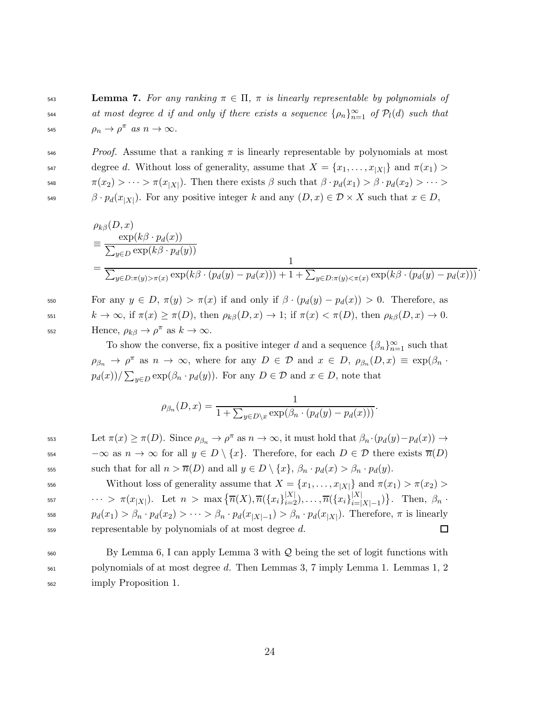543 **Lemma 7.** For any ranking  $\pi \in \Pi$ ,  $\pi$  is linearly representable by polynomials of <sup>544</sup> at most degree d if and only if there exists a sequence  $\{\rho_n\}_{n=1}^{\infty}$  of  $\mathcal{P}_l(d)$  such that 545  $\rho_n \to \rho^{\pi}$  as  $n \to \infty$ .

 $\epsilon_{\text{546}}$  Proof. Assume that a ranking  $\pi$  is linearly representable by polynomials at most  $\alpha$  degree d. Without loss of generality, assume that  $X = \{x_1, \ldots, x_{|X|}\}\$  and  $\pi(x_1) >$ <sup>548</sup>  $\pi(x_2) > \cdots > \pi(x_{|X|})$ . Then there exists  $\beta$  such that  $\beta \cdot p_d(x_1) > \beta \cdot p_d(x_2) > \cdots >$ <sup>549</sup>  $\beta \cdot p_d(x_{|X|})$ . For any positive integer k and any  $(D, x) \in \mathcal{D} \times X$  such that  $x \in D$ ,

$$
\rho_{k\beta}(D, x) = \frac{\exp(k\beta \cdot p_d(x))}{\sum_{y \in D} \exp(k\beta \cdot p_d(y))} = \frac{1}{\sum_{y \in D: \pi(y) > \pi(x)} \exp(k\beta \cdot (p_d(y) - p_d(x))) + 1 + \sum_{y \in D: \pi(y) < \pi(x)} \exp(k\beta \cdot (p_d(y) - p_d(x)))}.
$$

550 For any  $y \in D$ ,  $\pi(y) > \pi(x)$  if and only if  $β \cdot (p_d(y) - p_d(x)) > 0$ . Therefore, as 551  $k \to \infty$ , if  $\pi(x) \ge \pi(D)$ , then  $\rho_{k\beta}(D, x) \to 1$ ; if  $\pi(x) < \pi(D)$ , then  $\rho_{k\beta}(D, x) \to 0$ .  $\text{Hence, } \rho_{k\beta} \to \rho^{\pi} \text{ as } k \to \infty.$ 

To show the converse, fix a positive integer d and a sequence  $\{\beta_n\}_{n=1}^{\infty}$  such that  $\rho_{\beta_n} \to \rho^{\pi}$  as  $n \to \infty$ , where for any  $D \in \mathcal{D}$  and  $x \in D$ ,  $\rho_{\beta_n}(D, x) \equiv \exp(\beta_n \cdot x)$  $p_d(x)$ )/ $\sum_{y \in D} \exp(\beta_n \cdot p_d(y))$ . For any  $D \in \mathcal{D}$  and  $x \in D$ , note that

$$
\rho_{\beta_n}(D, x) = \frac{1}{1 + \sum_{y \in D \setminus x} \exp(\beta_n \cdot (p_d(y) - p_d(x)))}.
$$

 $\text{Let } \pi(x) \geq \pi(D). \text{ Since } \rho_{\beta_n} \to \rho^{\pi} \text{ as } n \to \infty, \text{ it must hold that } \beta_n \cdot (p_d(y) - p_d(x)) \to$  $\infty \text{ as } n \to \infty \text{ for all } y \in D \setminus \{x\}.$  Therefore, for each  $D \in \mathcal{D}$  there exists  $\overline{n}(D)$ 555 such that for all  $n > \overline{n}(D)$  and all  $y \in D \setminus \{x\}, \beta_n \cdot p_d(x) > \beta_n \cdot p_d(y)$ .

556 Without loss of generality assume that  $X = \{x_1, \ldots, x_{|X|}\}\$  and  $\pi(x_1) > \pi(x_2)$  $\cdots > \pi(x_{|X|})$ . Let  $n > \max\{\overline{n}(X), \overline{n}(\{x_i\}_{i=2}^{|X|}), \ldots, \overline{n}(\{x_i\}_{i=1}^{|X|})\}$ 557  $\cdots > \pi(x_{|X|})$ . Let  $n > \max \{ \overline{n}(X), \overline{n}(\{x_i\}_{i=2}^{|X|}), \ldots, \overline{n}(\{x_i\}_{i=|X|-1}^{|X|}) \}$ . Then,  $\beta_n$ . <sup>558</sup>  $p_d(x_1) > \beta_n \cdot p_d(x_2) > \cdots > \beta_n \cdot p_d(x_{|X|-1}) > \beta_n \cdot p_d(x_{|X|})$ . Therefore,  $\pi$  is linearly  $559$  representable by polynomials of at most degree d.  $\Box$ 

 $560$  By Lemma 6, I can apply Lemma 3 with Q being the set of logit functions with <sup>561</sup> polynomials of at most degree d. Then Lemmas 3, 7 imply Lemma 1. Lemmas 1, 2 <sup>562</sup> imply Proposition 1.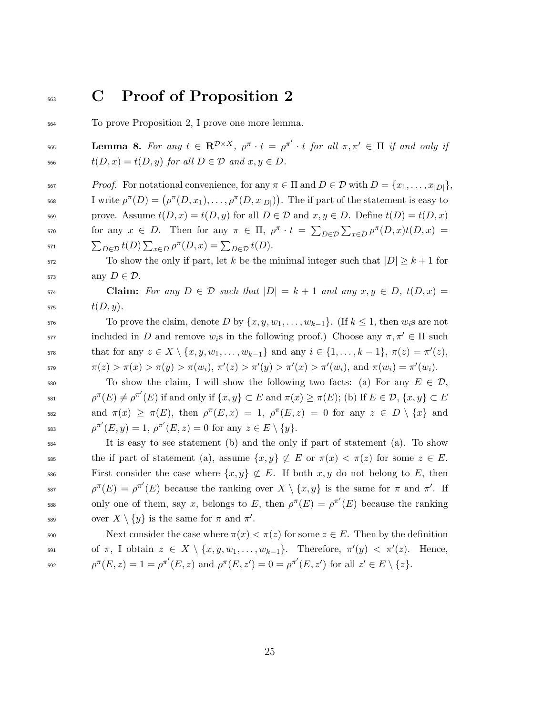## <sup>563</sup> C Proof of Proposition 2

<sup>564</sup> To prove Proposition 2, I prove one more lemma.

**Lemma 8.** For any  $t \in \mathbb{R}^{\mathcal{D}\times X}$ ,  $\rho^{\pi} \cdot t = \rho^{\pi'} \cdot t$  for all  $\pi, \pi' \in \Pi$  if and only if 566  $t(D, x) = t(D, y)$  for all  $D \in \mathcal{D}$  and  $x, y \in D$ .

567 Proof. For notational convenience, for any  $\pi \in \Pi$  and  $D \in \mathcal{D}$  with  $D = \{x_1, \ldots, x_{|D|}\},\$ <sup>568</sup> I write  $\rho^{\pi}(D) = (\rho^{\pi}(D, x_1), \ldots, \rho^{\pi}(D, x_{|D|}))$ . The if part of the statement is easy to 569 prove. Assume  $t(D, x) = t(D, y)$  for all  $D \in \mathcal{D}$  and  $x, y \in D$ . Define  $t(D) = t(D, x)$ 570 for any  $x \in D$ . Then for any  $π ∈ Π$ ,  $ρ<sup>π</sup> ⋅ t = ∑_{D∈D} ∑_{x∈D} ρ<sup>π</sup>(D, x)t(D, x) =$ <sup>571</sup>  $\sum_{D \in \mathcal{D}} t(D) \sum_{x \in D} \rho^{\pi}(D, x) = \sum_{D \in \mathcal{D}} t(D).$ 

572 To show the only if part, let k be the minimal integer such that  $|D| \geq k+1$  for 573 any  $D \in \mathcal{D}$ .

574 **Claim:** For any  $D \in \mathcal{D}$  such that  $|D| = k + 1$  and any  $x, y \in D$ ,  $t(D, x) =$ 575  $t(D, y)$ .

576 To prove the claim, denote D by  $\{x, y, w_1, \ldots, w_{k-1}\}$ . (If  $k \leq 1$ , then  $w_i$ s are not included in D and remove  $w_i$ s in the following proof.) Choose any  $\pi, \pi' \in \Pi$  such that for any  $z \in X \setminus \{x, y, w_1, \ldots, w_{k-1}\}\$ and any  $i \in \{1, \ldots, k-1\}, \pi(z) = \pi'(z)$ ,  $\pi(z) > \pi(x) > \pi(y) > \pi(w_i), \, \pi'(z) > \pi'(y) > \pi'(x) > \pi'(w_i), \, \text{and} \, \, \pi(w_i) = \pi'(w_i).$ 

580 To show the claim, I will show the following two facts: (a) For any  $E \in \mathcal{D}$ , <sup>581</sup>  $\rho^{\pi}(E) \neq \rho^{\pi'}(E)$  if and only if  $\{x, y\} \subset E$  and  $\pi(x) \geq \pi(E)$ ; (b) If  $E \in \mathcal{D}, \{x, y\} \subset E$ ss2 and  $\pi(x) \geq \pi(E)$ , then  $\rho^{\pi}(E, x) = 1$ ,  $\rho^{\pi}(E, z) = 0$  for any  $z \in D \setminus \{x\}$  and 583  $\rho^{\pi'}(E, y) = 1, \, \rho^{\pi'}(E, z) = 0 \text{ for any } z \in E \setminus \{y\}.$ 

<sup>584</sup> It is easy to see statement (b) and the only if part of statement (a). To show 585 the if part of statement (a), assume  $\{x, y\} \not\subset E$  or  $\pi(x) < \pi(z)$  for some  $z \in E$ . 586 First consider the case where  $\{x, y\} \not\subset E$ . If both  $x, y$  do not belong to E, then <sup>587</sup>  $\rho^{\pi}(E) = \rho^{\pi'}(E)$  because the ranking over  $X \setminus \{x, y\}$  is the same for  $\pi$  and  $\pi'$ . If 588 only one of them, say x, belongs to E, then  $\rho^{\pi}(E) = \rho^{\pi'}(E)$  because the ranking 589 over  $X \setminus \{y\}$  is the same for  $\pi$  and  $\pi'$ .

590 Next consider the case where  $\pi(x) < \pi(z)$  for some  $z \in E$ . Then by the definition  $\text{for } \pi, \text{ I obtain } z \in X \setminus \{x, y, w_1, \ldots, w_{k-1}\}.$  Therefore,  $\pi'(y) < \pi'(z)$ . Hence, <sup>592</sup>  $\rho^{\pi}(E, z) = 1 = \rho^{\pi'}(E, z)$  and  $\rho^{\pi}(E, z') = 0 = \rho^{\pi'}(E, z')$  for all  $z' \in E \setminus \{z\}.$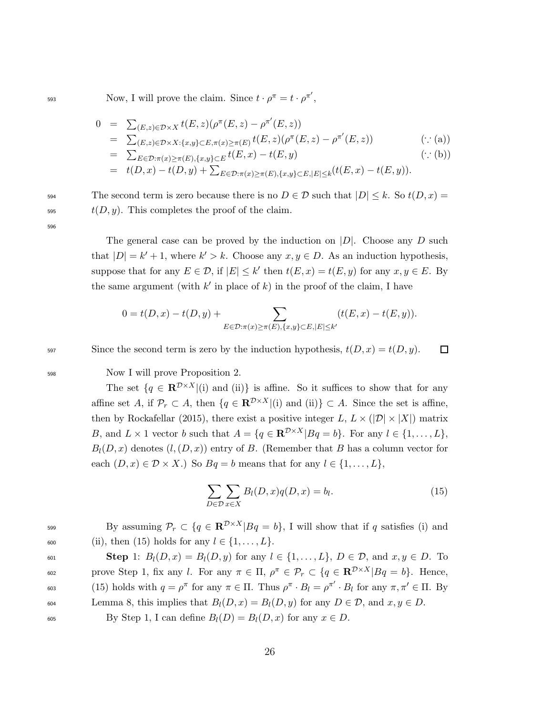593 Now, I will prove the claim. Since  $t \cdot \rho^{\pi} = t \cdot \rho^{\pi'}$ ,

$$
0 = \sum_{(E,z)\in\mathcal{D}\times X} t(E,z)(\rho^{\pi}(E,z) - \rho^{\pi'}(E,z))
$$
  
\n
$$
= \sum_{(E,z)\in\mathcal{D}\times X: \{x,y\}\subset E, \pi(x)\geq\pi(E)} t(E,z)(\rho^{\pi}(E,z) - \rho^{\pi'}(E,z))
$$
 (: (a))  
\n
$$
= \sum_{E\in\mathcal{D}:\pi(x)\geq\pi(E), \{x,y\}\subset E} t(E,x) - t(E,y)
$$
 (: (b))  
\n
$$
= t(D,x) - t(D,y) + \sum_{E\in\mathcal{D}:\pi(x)\geq\pi(E), \{x,y\}\subset E, |E|\leq k} (t(E,x) - t(E,y)).
$$

594 The second term is zero because there is no  $D \in \mathcal{D}$  such that  $|D| \leq k$ . So  $t(D, x) =$  $t(D, y)$ . This completes the proof of the claim.

596

The general case can be proved by the induction on  $|D|$ . Choose any D such that  $|D| = k' + 1$ , where  $k' > k$ . Choose any  $x, y \in D$ . As an induction hypothesis, suppose that for any  $E \in \mathcal{D}$ , if  $|E| \leq k'$  then  $t(E, x) = t(E, y)$  for any  $x, y \in E$ . By the same argument (with  $k'$  in place of  $k$ ) in the proof of the claim, I have

$$
0 = t(D, x) - t(D, y) + \sum_{E \in \mathcal{D} : \pi(x) \ge \pi(E), \{x, y\} \subset E, |E| \le k'} (t(E, x) - t(E, y)).
$$

597 Since the second term is zero by the induction hypothesis,  $t(D, x) = t(D, y)$ .

<sup>598</sup> Now I will prove Proposition 2.

The set  $\{q \in \mathbb{R}^{\mathcal{D} \times X} | (i) \text{ and } (ii)\}\$ is affine. So it suffices to show that for any affine set A, if  $\mathcal{P}_r \subset A$ , then  $\{q \in \mathbf{R}^{\mathcal{D} \times X} | (i) \text{ and } (ii)\} \subset A$ . Since the set is affine, then by Rockafellar (2015), there exist a positive integer L,  $L \times (|\mathcal{D}| \times |X|)$  matrix B, and  $L \times 1$  vector b such that  $A = \{q \in \mathbb{R}^{D \times X} | Bq = b\}$ . For any  $l \in \{1, ..., L\}$ ,  $B_l(D, x)$  denotes  $(l, (D, x))$  entry of B. (Remember that B has a column vector for each  $(D, x) \in \mathcal{D} \times X$ .) So  $Bq = b$  means that for any  $l \in \{1, ..., L\}$ ,

$$
\sum_{D \in \mathcal{D}} \sum_{x \in X} B_l(D, x) q(D, x) = b_l.
$$
\n(15)

口

By assuming  $\mathcal{P}_r \subset \{q \in \mathbb{R}^{\mathcal{D} \times X} | Bq = b\}$ , I will show that if q satisfies (i) and 600 (ii), then (15) holds for any  $l \in \{1, ..., L\}$ .

601 **Step** 1:  $B_l(D, x) = B_l(D, y)$  for any  $l \in \{1, ..., L\}$ ,  $D \in \mathcal{D}$ , and  $x, y \in D$ . To 602 prove Step 1, fix any *l*. For any  $π ∈ Π$ ,  $ρ<sup>π</sup> ∈ P$ <sub>r</sub> ⊂ { $q ∈ \mathbf{R}^{D×X} | Bq = b$ }. Hence, 603 (15) holds with  $q = \rho^{\pi}$  for any  $\pi \in \Pi$ . Thus  $\rho^{\pi} \cdot B_l = \rho^{\pi'} \cdot B_l$  for any  $\pi, \pi' \in \Pi$ . By 604 Lemma 8, this implies that  $B_l(D, x) = B_l(D, y)$  for any  $D \in \mathcal{D}$ , and  $x, y \in D$ . 605 By Step 1, I can define  $B_l(D) = B_l(D, x)$  for any  $x \in D$ .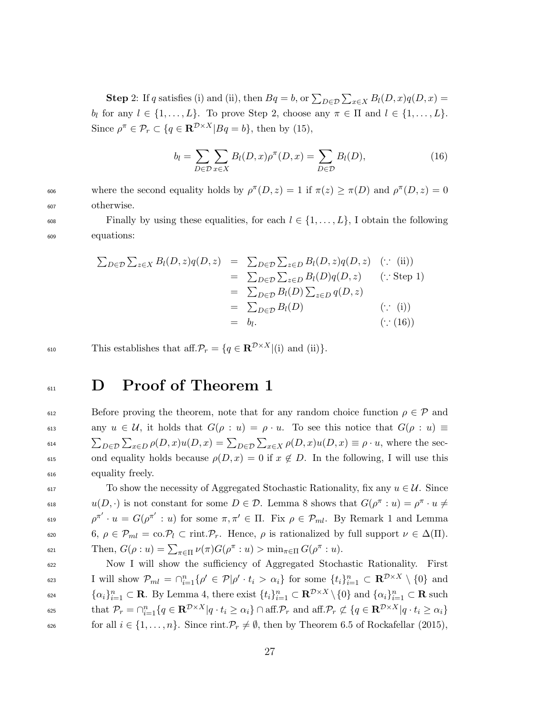**Step 2:** If q satisfies (i) and (ii), then  $Bq = b$ , or  $\sum_{D \in \mathcal{D}} \sum_{x \in X} B_l(D, x) q(D, x) =$ b<sub>l</sub> for any  $l \in \{1, ..., L\}$ . To prove Step 2, choose any  $\pi \in \Pi$  and  $l \in \{1, ..., L\}$ . Since  $\rho^{\pi} \in \mathcal{P}_r \subset \{q \in \mathbb{R}^{\mathcal{D} \times X} | Bq = b\}$ , then by (15),

$$
b_l = \sum_{D \in \mathcal{D}} \sum_{x \in X} B_l(D, x) \rho^{\pi}(D, x) = \sum_{D \in \mathcal{D}} B_l(D), \tag{16}
$$

<sup>606</sup> where the second equality holds by  $ρ^π(D, z) = 1$  if  $π(z) ≥ π(D)$  and  $ρ^π(D, z) = 0$ <sup>607</sup> otherwise.

608 Finally by using these equalities, for each  $l \in \{1, \ldots, L\}$ , I obtain the following <sup>609</sup> equations:

$$
\sum_{D \in \mathcal{D}} \sum_{z \in X} B_l(D, z) q(D, z) = \sum_{D \in \mathcal{D}} \sum_{z \in D} B_l(D, z) q(D, z) \quad (\because \text{ (ii)})
$$
  
\n
$$
= \sum_{D \in \mathcal{D}} \sum_{z \in D} B_l(D) q(D, z) \quad (\because \text{Step 1})
$$
  
\n
$$
= \sum_{D \in \mathcal{D}} B_l(D) \sum_{z \in D} q(D, z)
$$
  
\n
$$
= \sum_{D \in \mathcal{D}} B_l(D) \quad (\because \text{ (i)})
$$
  
\n
$$
= b_l. \quad (\because (16))
$$

610 This establishes that aff.  $\mathcal{P}_r = \{q \in \mathbb{R}^{\mathcal{D} \times X} | (i) \text{ and } (ii) \}.$ 

## <sup>611</sup> D Proof of Theorem 1

612 Before proving the theorem, note that for any random choice function  $\rho \in \mathcal{P}$  and 613 any  $u \in \mathcal{U}$ , it holds that  $G(\rho : u) = \rho \cdot u$ . To see this notice that  $G(\rho : u) \equiv$ <sup>614</sup>  $\sum_{D \in \mathcal{D}} \sum_{x \in D} \rho(D, x) u(D, x) = \sum_{D \in \mathcal{D}} \sum_{x \in X} \rho(D, x) u(D, x) \equiv \rho \cdot u$ , where the sec-615 ond equality holds because  $\rho(D, x) = 0$  if  $x \notin D$ . In the following, I will use this <sup>616</sup> equality freely.

 $617$  To show the necessity of Aggregated Stochastic Rationality, fix any  $u \in \mathcal{U}$ . Since 618  $u(D, \cdot)$  is not constant for some  $D \in \mathcal{D}$ . Lemma 8 shows that  $G(\rho^{\pi}: u) = \rho^{\pi} \cdot u \neq$ <sup>619</sup>  $\rho^{\pi'} \cdot u = G(\rho^{\pi'} : u)$  for some  $\pi, \pi' \in \Pi$ . Fix  $\rho \in \mathcal{P}_{ml}$ . By Remark 1 and Lemma 620 6,  $\rho \in \mathcal{P}_{ml} = \text{co.} \mathcal{P}_l \subset \text{rint.} \mathcal{P}_r$ . Hence,  $\rho$  is rationalized by full support  $\nu \in \Delta(\Pi)$ . 621 Then,  $G(\rho:u) = \sum_{\pi \in \Pi} \nu(\pi) G(\rho^{\pi}:u) > \min_{\pi \in \Pi} G(\rho^{\pi}:u)$ .

<sup>622</sup> Now I will show the sufficiency of Aggregated Stochastic Rationality. First 623 I will show  $\mathcal{P}_{ml} = \bigcap_{i=1}^n \{ \rho' \in \mathcal{P} | \rho' \cdot t_i > \alpha_i \}$  for some  $\{t_i\}_{i=1}^n \subset \mathbb{R}^{\mathcal{D} \times X} \setminus \{0\}$  and <sup>624</sup>  $\{\alpha_i\}_{i=1}^n \subset \mathbf{R}$ . By Lemma 4, there exist  $\{t_i\}_{i=1}^n \subset \mathbf{R}^{\mathcal{D}\times X} \setminus \{0\}$  and  $\{\alpha_i\}_{i=1}^n \subset \mathbf{R}$  such that  $\mathcal{P}_r = \bigcap_{i=1}^n \{q \in \mathbf{R}^{\mathcal{D} \times X} | q \cdot t_i \geq \alpha_i \} \cap \text{aff.} \mathcal{P}_r \text{ and aff.} \mathcal{P}_r \not\subset \{q \in \mathbf{R}^{\mathcal{D} \times X} | q \cdot t_i \geq \alpha_i \}$ 626 for all  $i \in \{1, \ldots, n\}$ . Since rint.  $\mathcal{P}_r \neq \emptyset$ , then by Theorem 6.5 of Rockafellar (2015),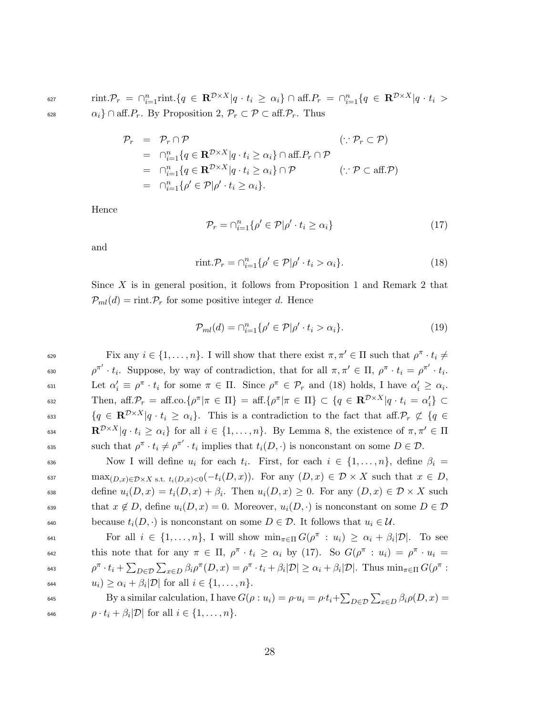627  $\text{rint.} \mathcal{P}_r \ = \ \cap_{i=1}^n \text{rint.} \{ q \ \in \ \mathbf{R}^{\mathcal{D} \times X} | q \cdot t_i \ \geq \ \alpha_i \} \ \cap \ \text{aff.} P_r \ = \ \cap_{i=1}^n \{ q \ \in \ \mathbf{R}^{\mathcal{D} \times X} | q \cdot t_i \ >$ 628  $\alpha_i$ } ∩ aff.  $P_r$ . By Proposition 2,  $P_r \subset \mathcal{P} \subset \text{aff.} \mathcal{P}_r$ . Thus

$$
\mathcal{P}_r = \mathcal{P}_r \cap \mathcal{P} \qquad (\because \mathcal{P}_r \subset \mathcal{P})
$$
\n
$$
= \bigcap_{i=1}^n \{q \in \mathbf{R}^{\mathcal{D} \times X} | q \cdot t_i \ge \alpha_i\} \cap \text{aff.} P_r \cap \mathcal{P}
$$
\n
$$
= \bigcap_{i=1}^n \{q \in \mathbf{R}^{\mathcal{D} \times X} | q \cdot t_i \ge \alpha_i\} \cap \mathcal{P} \qquad (\because \mathcal{P} \subset \text{aff.} \mathcal{P})
$$
\n
$$
= \bigcap_{i=1}^n \{\rho' \in \mathcal{P} | \rho' \cdot t_i \ge \alpha_i\}.
$$

Hence

$$
\mathcal{P}_r = \bigcap_{i=1}^n \{ \rho' \in \mathcal{P} | \rho' \cdot t_i \ge \alpha_i \} \tag{17}
$$

and

$$
\text{rint.} \mathcal{P}_r = \bigcap_{i=1}^n \{ \rho' \in \mathcal{P} | \rho' \cdot t_i > \alpha_i \}. \tag{18}
$$

Since X is in general position, it follows from Proposition 1 and Remark 2 that  $\mathcal{P}_{ml}(d) = \text{rint.} \mathcal{P}_r$  for some positive integer d. Hence

$$
\mathcal{P}_{ml}(d) = \bigcap_{i=1}^n \{ \rho' \in \mathcal{P} | \rho' \cdot t_i > \alpha_i \}. \tag{19}
$$

Fix any  $i \in \{1, \ldots, n\}$ . I will show that there exist  $\pi, \pi' \in \Pi$  such that  $\rho^{\pi} \cdot t_i \neq$ 630  $\rho^{\pi'} \cdot t_i$ . Suppose, by way of contradiction, that for all  $\pi, \pi' \in \Pi$ ,  $\rho^{\pi} \cdot t_i = \rho^{\pi'} \cdot t_i$ . 631 Let  $\alpha'_i \equiv \rho^{\pi} \cdot t_i$  for some  $\pi \in \Pi$ . Since  $\rho^{\pi} \in \mathcal{P}_r$  and (18) holds, I have  $\alpha'_i \geq \alpha_i$ . 632 Then, aff. $P_r = \text{aff.co.} \{ \rho^{\pi} | \pi \in \Pi \} = \text{aff.} \{ \rho^{\pi} | \pi \in \Pi \} \subset \{ q \in \mathbb{R}^{\mathcal{D} \times X} | q \cdot t_i = \alpha'_i \} \subset$  ${q \in \mathbf{R}^{\mathcal{D}\times X} | q \cdot t_i \geq \alpha_i}$ . This is a contradiction to the fact that aff. $\mathcal{P}_r \not\subset \{q \in \mathcal{P}_r : r \in \mathcal{P}_r : r \in \mathcal{P}_r \mid r_i \geq \alpha_i\}$ .  $\mathbf{R}^{\mathcal{D}\times X} | q \cdot t_i \geq \alpha_i \}$  for all  $i \in \{1, \ldots, n\}$ . By Lemma 8, the existence of  $\pi, \pi' \in \Pi$ such that  $\rho^{\pi} \cdot t_i \neq \rho^{\pi'} \cdot t_i$  implies that  $t_i(D, \cdot)$  is nonconstant on some  $D \in \mathcal{D}$ .

636 Now I will define  $u_i$  for each  $t_i$ . First, for each  $i \in \{1, ..., n\}$ , define  $\beta_i =$ 637 max $_{(D,x)\in\mathcal{D}\times X \text{ s.t. } t_i(D,x)<0}(-t_i(D,x))$ . For any  $(D,x)\in\mathcal{D}\times X$  such that  $x\in D$ , 638 define  $u_i(D, x) = t_i(D, x) + \beta_i$ . Then  $u_i(D, x) \geq 0$ . For any  $(D, x) \in \mathcal{D} \times X$  such 639 that  $x \notin D$ , define  $u_i(D, x) = 0$ . Moreover,  $u_i(D, \cdot)$  is nonconstant on some  $D \in \mathcal{D}$ 640 because  $t_i(D, \cdot)$  is nonconstant on some  $D \in \mathcal{D}$ . It follows that  $u_i \in \mathcal{U}$ .

For all  $i \in \{1, ..., n\}$ , I will show  $\min_{\pi \in \Pi} G(\rho^{\pi} : u_i) \geq \alpha_i + \beta_i |\mathcal{D}|$ . To see 642 this note that for any  $\pi \in \Pi$ ,  $\rho^{\pi} \cdot t_i \ge \alpha_i$  by (17). So  $G(\rho^{\pi} : u_i) = \rho^{\pi} \cdot u_i =$ <sup>643</sup>  $\rho^{\pi} \cdot t_i + \sum_{D \in \mathcal{D}} \sum_{x \in D} \beta_i \rho^{\pi}(D, x) = \rho^{\pi} \cdot t_i + \beta_i |\mathcal{D}| \ge \alpha_i + \beta_i |\mathcal{D}|.$  Thus  $\min_{\pi \in \Pi} G(\rho^{\pi} :$ <sup>644</sup>  $u_i) \geq \alpha_i + \beta_i |\mathcal{D}|$  for all  $i \in \{1, \ldots, n\}.$ 

645 By a similar calculation, I have  $G(\rho : u_i) = \rho \cdot u_i = \rho \cdot t_i + \sum_{D \in \mathcal{D}} \sum_{x \in D} \beta_i \rho(D, x) =$ <sup>646</sup>  $\rho \cdot t_i + \beta_i |\mathcal{D}| \text{ for all } i \in \{1, \ldots, n\}.$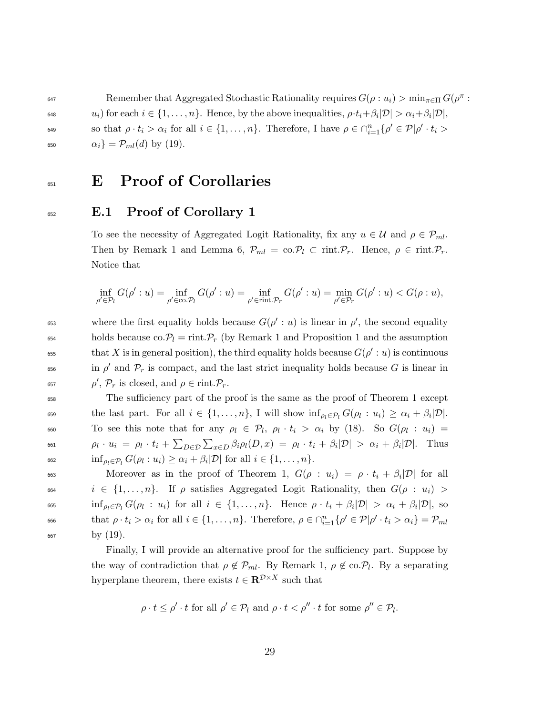Remember that Aggregated Stochastic Rationality requires  $G(\rho : u_i) > \min_{\pi \in \Pi} G(\rho^{\pi} :$ <sup>648</sup>  $u_i)$  for each  $i \in \{1, \ldots, n\}$ . Hence, by the above inequalities,  $\rho \cdot t_i + \beta_i |\mathcal{D}| > \alpha_i + \beta_i |\mathcal{D}|$ , so that  $\rho \cdot t_i > \alpha_i$  for all  $i \in \{1, ..., n\}$ . Therefore, I have  $\rho \in \bigcap_{i=1}^n {\rho' \in \mathcal{P} | \rho' \cdot t_i > \rho'}$ 650  $\alpha_i$ } =  $\mathcal{P}_{ml}(d)$  by (19).

### <sup>651</sup> E Proof of Corollaries

#### <sup>652</sup> E.1 Proof of Corollary 1

To see the necessity of Aggregated Logit Rationality, fix any  $u \in \mathcal{U}$  and  $\rho \in \mathcal{P}_{ml}$ . Then by Remark 1 and Lemma 6,  $\mathcal{P}_{ml} = \text{co.} \mathcal{P}_l \subset \text{rint.} \mathcal{P}_r$ . Hence,  $\rho \in \text{rint.} \mathcal{P}_r$ . Notice that

$$
\inf_{\rho' \in \mathcal{P}_l} G(\rho': u) = \inf_{\rho' \in \text{co.} \mathcal{P}_l} G(\rho': u) = \inf_{\rho' \in \text{rint.} \mathcal{P}_r} G(\rho': u) = \min_{\rho' \in \mathcal{P}_r} G(\rho': u) < G(\rho: u),
$$

<sup>653</sup> where the first equality holds because  $G(\rho' : u)$  is linear in  $\rho'$ , the second equality <sup>654</sup> holds because co.  $\mathcal{P}_l = \text{rint} \cdot \mathcal{P}_r$  (by Remark 1 and Proposition 1 and the assumption that X is in general position), the third equality holds because  $G(\rho' : u)$  is continuous  $\int$ <sub>656</sub> in  $\rho'$  and  $\mathcal{P}_r$  is compact, and the last strict inequality holds because G is linear in <sup>657</sup>  $\rho'$ ,  $\mathcal{P}_r$  is closed, and  $\rho \in \text{rint.} \mathcal{P}_r$ .

<sup>658</sup> The sufficiency part of the proof is the same as the proof of Theorem 1 except the last part. For all  $i \in \{1, \ldots, n\}$ , I will show  $\inf_{\rho_l \in \mathcal{P}_l} G(\rho_l : u_i) \geq \alpha_i + \beta_i |\mathcal{D}|$ . 660 To see this note that for any  $\rho_l \in \mathcal{P}_l$ ,  $\rho_l \cdot t_i > \alpha_i$  by (18). So  $G(\rho_l : u_i) =$ <sup>661</sup>  $\rho_l \cdot u_i = \rho_l \cdot t_i + \sum_{D \in \mathcal{D}} \sum_{x \in D} \beta_i \rho_l(D,x) = \rho_l \cdot t_i + \beta_i |\mathcal{D}| > \alpha_i + \beta_i |\mathcal{D}|.$  Thus <sup>662</sup>  $\inf_{\rho_i \in \mathcal{P}_l} G(\rho_i : u_i) \geq \alpha_i + \beta_i |\mathcal{D}|$  for all  $i \in \{1, \ldots, n\}.$ 

663 Moreover as in the proof of Theorem 1,  $G(\rho : u_i) = \rho \cdot t_i + \beta_i |\mathcal{D}|$  for all 664 i ∈ {1,..., n}. If  $\rho$  satisfies Aggregated Logit Rationality, then  $G(\rho : u_i)$  > <sup>665</sup> inf<sub> $\rho_l \in \mathcal{P}_l$ </sub>  $G(\rho_l : u_i)$  for all  $i \in \{1, \ldots, n\}$ . Hence  $\rho \cdot t_i + \beta_i |\mathcal{D}| > \alpha_i + \beta_i |\mathcal{D}|$ , so 666 that  $\rho \cdot t_i > \alpha_i$  for all  $i \in \{1, ..., n\}$ . Therefore,  $\rho \in \bigcap_{i=1}^n \{\rho' \in \mathcal{P} | \rho' \cdot t_i > \alpha_i\} = \mathcal{P}_{ml}$  $_{667}$  by  $(19)$ .

> Finally, I will provide an alternative proof for the sufficiency part. Suppose by the way of contradiction that  $\rho \notin \mathcal{P}_{ml}$ . By Remark 1,  $\rho \notin \infty \mathcal{P}_l$ . By a separating hyperplane theorem, there exists  $t \in \mathbb{R}^{\mathcal{D} \times X}$  such that

$$
\rho \cdot t \le \rho' \cdot t \text{ for all } \rho' \in \mathcal{P}_l \text{ and } \rho \cdot t < \rho'' \cdot t \text{ for some } \rho'' \in \mathcal{P}_l.
$$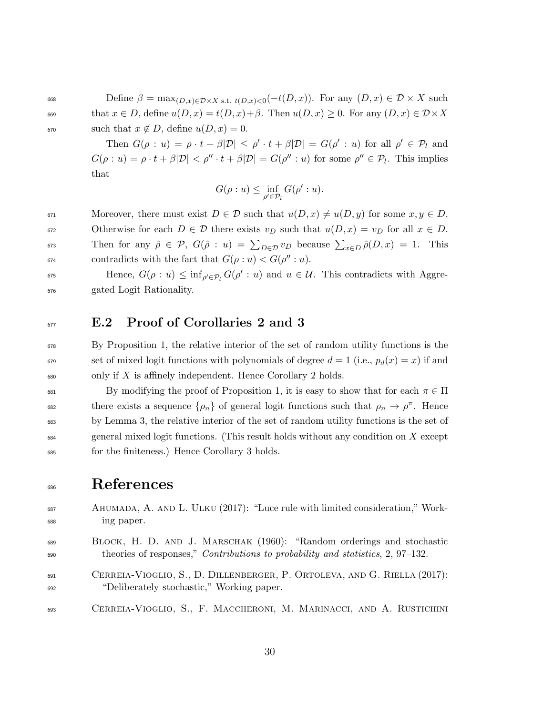668 Define  $\beta = \max_{(D,x)\in\mathcal{D}\times X}$  s.t.  $t(D,x)<sub>0</sub>(-t(D,x))$ . For any  $(D,x)\in\mathcal{D}\times X$  such 669 that  $x \in D$ , define  $u(D, x) = t(D, x) + \beta$ . Then  $u(D, x) \geq 0$ . For any  $(D, x) \in \mathcal{D} \times X$ 670 such that  $x \notin D$ , define  $u(D, x) = 0$ .

> Then  $G(\rho : u) = \rho \cdot t + \beta |\mathcal{D}| \leq \rho' \cdot t + \beta |\mathcal{D}| = G(\rho' : u)$  for all  $\rho' \in \mathcal{P}_l$  and  $G(\rho: u) = \rho \cdot t + \beta |\mathcal{D}| < \rho'' \cdot t + \beta |\mathcal{D}| = G(\rho'': u)$  for some  $\rho'' \in \mathcal{P}_l$ . This implies that

$$
G(\rho:u) \le \inf_{\rho' \in \mathcal{P}_l} G(\rho':u).
$$

671 Moreover, there must exist  $D \in \mathcal{D}$  such that  $u(D, x) \neq u(D, y)$  for some  $x, y \in D$ . 672 Otherwise for each  $D \in \mathcal{D}$  there exists  $v_D$  such that  $u(D, x) = v_D$  for all  $x \in D$ .  $\sigma_{573}$  Then for any  $\hat{\rho} \in \mathcal{P}, G(\hat{\rho} : u) = \sum_{D \in \mathcal{D}} v_D$  because  $\sum_{x \in D} \hat{\rho}(D, x) = 1$ . This <sup>674</sup> contradicts with the fact that  $G(\rho : u) < G(\rho'': u)$ .

 $\sigma$ <sup>575</sup> Hence,  $G(\rho : u) \leq \inf_{\rho' \in \mathcal{P}_l} G(\rho' : u)$  and  $u \in \mathcal{U}$ . This contradicts with Aggre-<sup>676</sup> gated Logit Rationality.

#### <sup>677</sup> E.2 Proof of Corollaries 2 and 3

<sup>678</sup> By Proposition 1, the relative interior of the set of random utility functions is the <sup>679</sup> set of mixed logit functions with polynomials of degree  $d = 1$  (i.e.,  $p_d(x) = x$ ) if and  $\delta_{680}$  only if X is affinely independent. Hence Corollary 2 holds.

681 By modifying the proof of Proposition 1, it is easy to show that for each  $\pi \in \Pi$ there exists a sequence  $\{\rho_n\}$  of general logit functions such that  $\rho_n \to \rho^{\pi}$ . Hence <sup>683</sup> by Lemma 3, the relative interior of the set of random utility functions is the set of  $\epsilon_{684}$  general mixed logit functions. (This result holds without any condition on X except <sup>685</sup> for the finiteness.) Hence Corollary 3 holds.

## <sup>686</sup> References

- <sup>687</sup> Ahumada, A. and L. Ulku (2017): "Luce rule with limited consideration," Work-<sup>688</sup> ing paper.
- <sup>689</sup> Block, H. D. and J. Marschak (1960): "Random orderings and stochastic <sup>690</sup> theories of responses," Contributions to probability and statistics, 2, 97–132.
- <sup>691</sup> Cerreia-Vioglio, S., D. Dillenberger, P. Ortoleva, and G. Riella (2017): <sup>692</sup> "Deliberately stochastic," Working paper.

<sup>693</sup> Cerreia-Vioglio, S., F. Maccheroni, M. Marinacci, and A. Rustichini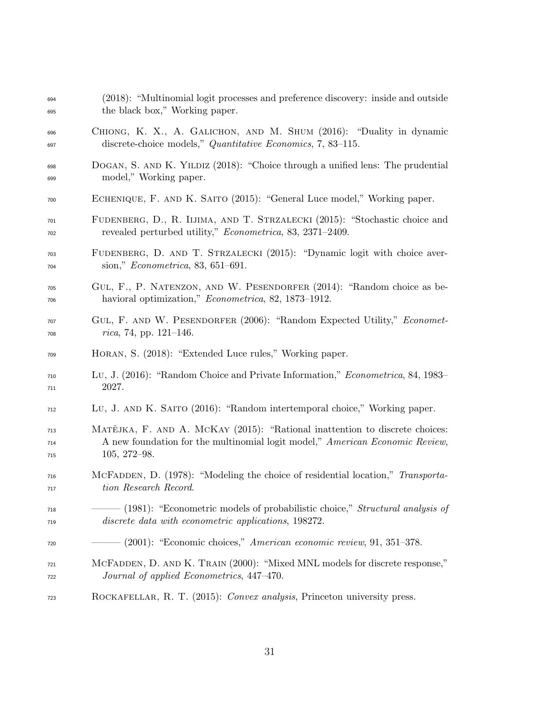| 694 | (2018): "Multinomial logit processes and preference discovery: inside and outside     |
|-----|---------------------------------------------------------------------------------------|
| 695 | the black box," Working paper.                                                        |
| 696 | CHIONG, K. X., A. GALICHON, AND M. SHUM (2016): "Duality in dynamic                   |
| 697 | discrete-choice models," Quantitative Economics, 7, 83–115.                           |
| 698 | DOGAN, S. AND K. YILDIZ (2018): "Choice through a unified lens: The prudential        |
| 699 | model," Working paper.                                                                |
| 700 | ECHENIQUE, F. AND K. SAITO (2015): "General Luce model," Working paper.               |
| 701 | FUDENBERG, D., R. IIJIMA, AND T. STRZALECKI (2015): "Stochastic choice and            |
| 702 | revealed perturbed utility," <i>Econometrica</i> , 83, 2371-2409.                     |
| 703 | FUDENBERG, D. AND T. STRZALECKI (2015): "Dynamic logit with choice aver-              |
| 704 | sion," <i>Econometrica</i> , 83, 651-691.                                             |
| 705 | GUL, F., P. NATENZON, AND W. PESENDORFER (2014): "Random choice as be-                |
| 706 | havioral optimization," <i>Econometrica</i> , 82, 1873–1912.                          |
| 707 | GUL, F. AND W. PESENDORFER (2006): "Random Expected Utility," Economet-               |
| 708 | rica, 74, pp. 121-146.                                                                |
| 709 | HORAN, S. (2018): "Extended Luce rules," Working paper.                               |
| 710 | Lu, J. (2016): "Random Choice and Private Information," Econometrica, 84, 1983–       |
| 711 | 2027.                                                                                 |
| 712 | LU, J. AND K. SAITO (2016): "Random intertemporal choice," Working paper.             |
| 713 | МАТЕЈКА, F. AND A. MCKAY (2015): "Rational inattention to discrete choices:           |
| 714 | A new foundation for the multinomial logit model," American Economic Review,          |
| 715 | $105, 272 - 98.$                                                                      |
| 716 | MCFADDEN, D. (1978): "Modeling the choice of residential location," Transporta-       |
| 717 | tion Research Record.                                                                 |
| 718 | - (1981): "Econometric models of probabilistic choice," <i>Structural analysis of</i> |
| 719 | discrete data with econometric applications, 198272.                                  |
| 720 | $-$ (2001): "Economic choices," American economic review, 91, 351–378.                |
| 721 | MCFADDEN, D. AND K. TRAIN (2000): "Mixed MNL models for discrete response,"           |
| 722 | Journal of applied Econometrics, 447-470.                                             |
| 723 | ROCKAFELLAR, R. T. (2015): Convex analysis, Princeton university press.               |